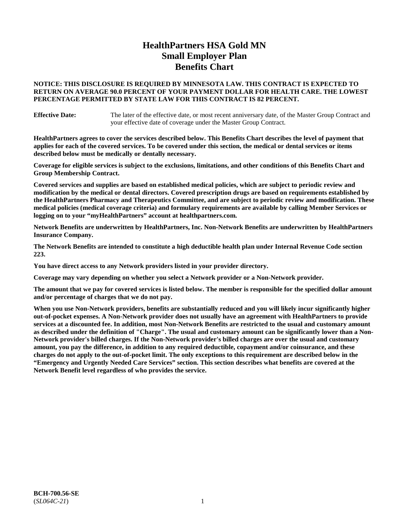# **HealthPartners HSA Gold MN Small Employer Plan Benefits Chart**

## **NOTICE: THIS DISCLOSURE IS REQUIRED BY MINNESOTA LAW. THIS CONTRACT IS EXPECTED TO RETURN ON AVERAGE 90.0 PERCENT OF YOUR PAYMENT DOLLAR FOR HEALTH CARE. THE LOWEST PERCENTAGE PERMITTED BY STATE LAW FOR THIS CONTRACT IS 82 PERCENT.**

**Effective Date:** The later of the effective date, or most recent anniversary date, of the Master Group Contract and your effective date of coverage under the Master Group Contract.

**HealthPartners agrees to cover the services described below. This Benefits Chart describes the level of payment that applies for each of the covered services. To be covered under this section, the medical or dental services or items described below must be medically or dentally necessary.**

**Coverage for eligible services is subject to the exclusions, limitations, and other conditions of this Benefits Chart and Group Membership Contract.**

**Covered services and supplies are based on established medical policies, which are subject to periodic review and modification by the medical or dental directors. Covered prescription drugs are based on requirements established by the HealthPartners Pharmacy and Therapeutics Committee, and are subject to periodic review and modification. These medical policies (medical coverage criteria) and formulary requirements are available by calling Member Services or logging on to your "myHealthPartners" account at [healthpartners.com.](https://www.healthpartners.com/hp/index.html)**

**Network Benefits are underwritten by HealthPartners, Inc. Non-Network Benefits are underwritten by HealthPartners Insurance Company.** 

**The Network Benefits are intended to constitute a high deductible health plan under Internal Revenue Code section 223.** 

**You have direct access to any Network providers listed in your provider directory.**

**Coverage may vary depending on whether you select a Network provider or a Non-Network provider.**

**The amount that we pay for covered services is listed below. The member is responsible for the specified dollar amount and/or percentage of charges that we do not pay.**

**When you use Non-Network providers, benefits are substantially reduced and you will likely incur significantly higher out-of-pocket expenses. A Non-Network provider does not usually have an agreement with HealthPartners to provide services at a discounted fee. In addition, most Non-Network Benefits are restricted to the usual and customary amount as described under the definition of "Charge". The usual and customary amount can be significantly lower than a Non-Network provider's billed charges. If the Non-Network provider's billed charges are over the usual and customary amount, you pay the difference, in addition to any required deductible, copayment and/or coinsurance, and these charges do not apply to the out-of-pocket limit. The only exceptions to this requirement are described below in the "Emergency and Urgently Needed Care Services" section. This section describes what benefits are covered at the Network Benefit level regardless of who provides the service.**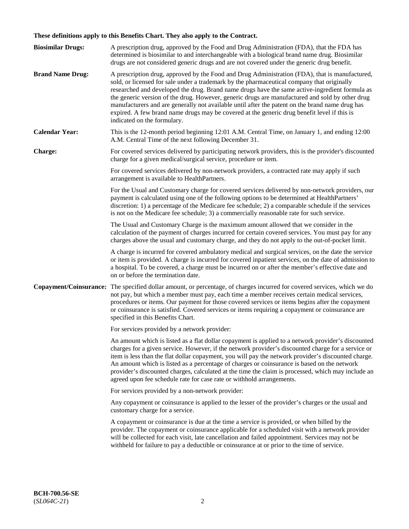# **These definitions apply to this Benefits Chart. They also apply to the Contract.**

| <b>Biosimilar Drugs:</b> | A prescription drug, approved by the Food and Drug Administration (FDA), that the FDA has<br>determined is biosimilar to and interchangeable with a biological brand name drug. Biosimilar<br>drugs are not considered generic drugs and are not covered under the generic drug benefit.                                                                                                                                                                                                                                                                                                                                           |
|--------------------------|------------------------------------------------------------------------------------------------------------------------------------------------------------------------------------------------------------------------------------------------------------------------------------------------------------------------------------------------------------------------------------------------------------------------------------------------------------------------------------------------------------------------------------------------------------------------------------------------------------------------------------|
| <b>Brand Name Drug:</b>  | A prescription drug, approved by the Food and Drug Administration (FDA), that is manufactured,<br>sold, or licensed for sale under a trademark by the pharmaceutical company that originally<br>researched and developed the drug. Brand name drugs have the same active-ingredient formula as<br>the generic version of the drug. However, generic drugs are manufactured and sold by other drug<br>manufacturers and are generally not available until after the patent on the brand name drug has<br>expired. A few brand name drugs may be covered at the generic drug benefit level if this is<br>indicated on the formulary. |
| <b>Calendar Year:</b>    | This is the 12-month period beginning 12:01 A.M. Central Time, on January 1, and ending 12:00<br>A.M. Central Time of the next following December 31.                                                                                                                                                                                                                                                                                                                                                                                                                                                                              |
| <b>Charge:</b>           | For covered services delivered by participating network providers, this is the provider's discounted<br>charge for a given medical/surgical service, procedure or item.                                                                                                                                                                                                                                                                                                                                                                                                                                                            |
|                          | For covered services delivered by non-network providers, a contracted rate may apply if such<br>arrangement is available to HealthPartners.                                                                                                                                                                                                                                                                                                                                                                                                                                                                                        |
|                          | For the Usual and Customary charge for covered services delivered by non-network providers, our<br>payment is calculated using one of the following options to be determined at HealthPartners'<br>discretion: 1) a percentage of the Medicare fee schedule; 2) a comparable schedule if the services<br>is not on the Medicare fee schedule; 3) a commercially reasonable rate for such service.                                                                                                                                                                                                                                  |
|                          | The Usual and Customary Charge is the maximum amount allowed that we consider in the<br>calculation of the payment of charges incurred for certain covered services. You must pay for any<br>charges above the usual and customary charge, and they do not apply to the out-of-pocket limit.                                                                                                                                                                                                                                                                                                                                       |
|                          | A charge is incurred for covered ambulatory medical and surgical services, on the date the service<br>or item is provided. A charge is incurred for covered inpatient services, on the date of admission to<br>a hospital. To be covered, a charge must be incurred on or after the member's effective date and<br>on or before the termination date.                                                                                                                                                                                                                                                                              |
| Copayment/Coinsurance:   | The specified dollar amount, or percentage, of charges incurred for covered services, which we do<br>not pay, but which a member must pay, each time a member receives certain medical services,<br>procedures or items. Our payment for those covered services or items begins after the copayment<br>or coinsurance is satisfied. Covered services or items requiring a copayment or coinsurance are<br>specified in this Benefits Chart.                                                                                                                                                                                        |
|                          | For services provided by a network provider:                                                                                                                                                                                                                                                                                                                                                                                                                                                                                                                                                                                       |
|                          | An amount which is listed as a flat dollar copayment is applied to a network provider's discounted<br>charges for a given service. However, if the network provider's discounted charge for a service or<br>item is less than the flat dollar copayment, you will pay the network provider's discounted charge.<br>An amount which is listed as a percentage of charges or coinsurance is based on the network<br>provider's discounted charges, calculated at the time the claim is processed, which may include an<br>agreed upon fee schedule rate for case rate or withhold arrangements.                                      |
|                          | For services provided by a non-network provider:                                                                                                                                                                                                                                                                                                                                                                                                                                                                                                                                                                                   |
|                          | Any copayment or coinsurance is applied to the lesser of the provider's charges or the usual and<br>customary charge for a service.                                                                                                                                                                                                                                                                                                                                                                                                                                                                                                |
|                          | A copayment or coinsurance is due at the time a service is provided, or when billed by the<br>provider. The copayment or coinsurance applicable for a scheduled visit with a network provider<br>will be collected for each visit, late cancellation and failed appointment. Services may not be<br>withheld for failure to pay a deductible or coinsurance at or prior to the time of service.                                                                                                                                                                                                                                    |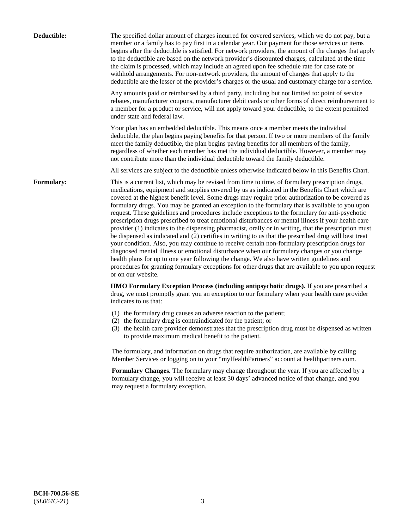| Deductible:       | The specified dollar amount of charges incurred for covered services, which we do not pay, but a<br>member or a family has to pay first in a calendar year. Our payment for those services or items<br>begins after the deductible is satisfied. For network providers, the amount of the charges that apply<br>to the deductible are based on the network provider's discounted charges, calculated at the time<br>the claim is processed, which may include an agreed upon fee schedule rate for case rate or<br>withhold arrangements. For non-network providers, the amount of charges that apply to the<br>deductible are the lesser of the provider's charges or the usual and customary charge for a service.                                                                                                                                                                                                                                                                                                                                                                                                                                                                                                                                             |
|-------------------|------------------------------------------------------------------------------------------------------------------------------------------------------------------------------------------------------------------------------------------------------------------------------------------------------------------------------------------------------------------------------------------------------------------------------------------------------------------------------------------------------------------------------------------------------------------------------------------------------------------------------------------------------------------------------------------------------------------------------------------------------------------------------------------------------------------------------------------------------------------------------------------------------------------------------------------------------------------------------------------------------------------------------------------------------------------------------------------------------------------------------------------------------------------------------------------------------------------------------------------------------------------|
|                   | Any amounts paid or reimbursed by a third party, including but not limited to: point of service<br>rebates, manufacturer coupons, manufacturer debit cards or other forms of direct reimbursement to<br>a member for a product or service, will not apply toward your deductible, to the extent permitted<br>under state and federal law.                                                                                                                                                                                                                                                                                                                                                                                                                                                                                                                                                                                                                                                                                                                                                                                                                                                                                                                        |
|                   | Your plan has an embedded deductible. This means once a member meets the individual<br>deductible, the plan begins paying benefits for that person. If two or more members of the family<br>meet the family deductible, the plan begins paying benefits for all members of the family,<br>regardless of whether each member has met the individual deductible. However, a member may<br>not contribute more than the individual deductible toward the family deductible.                                                                                                                                                                                                                                                                                                                                                                                                                                                                                                                                                                                                                                                                                                                                                                                         |
|                   | All services are subject to the deductible unless otherwise indicated below in this Benefits Chart.                                                                                                                                                                                                                                                                                                                                                                                                                                                                                                                                                                                                                                                                                                                                                                                                                                                                                                                                                                                                                                                                                                                                                              |
| <b>Formulary:</b> | This is a current list, which may be revised from time to time, of formulary prescription drugs,<br>medications, equipment and supplies covered by us as indicated in the Benefits Chart which are<br>covered at the highest benefit level. Some drugs may require prior authorization to be covered as<br>formulary drugs. You may be granted an exception to the formulary that is available to you upon<br>request. These guidelines and procedures include exceptions to the formulary for anti-psychotic<br>prescription drugs prescribed to treat emotional disturbances or mental illness if your health care<br>provider (1) indicates to the dispensing pharmacist, orally or in writing, that the prescription must<br>be dispensed as indicated and (2) certifies in writing to us that the prescribed drug will best treat<br>your condition. Also, you may continue to receive certain non-formulary prescription drugs for<br>diagnosed mental illness or emotional disturbance when our formulary changes or you change<br>health plans for up to one year following the change. We also have written guidelines and<br>procedures for granting formulary exceptions for other drugs that are available to you upon request<br>or on our website. |
|                   | HMO Formulary Exception Process (including antipsychotic drugs). If you are prescribed a<br>drug, we must promptly grant you an exception to our formulary when your health care provider<br>indicates to us that:                                                                                                                                                                                                                                                                                                                                                                                                                                                                                                                                                                                                                                                                                                                                                                                                                                                                                                                                                                                                                                               |
|                   | (1) the formulary drug causes an adverse reaction to the patient;<br>(2) the formulary drug is contraindicated for the patient; or<br>(3) the health care provider demonstrates that the prescription drug must be dispensed as written<br>to provide maximum medical benefit to the patient.                                                                                                                                                                                                                                                                                                                                                                                                                                                                                                                                                                                                                                                                                                                                                                                                                                                                                                                                                                    |
|                   | The formulary, and information on drugs that require authorization, are available by calling<br>Member Services or logging on to your "myHealthPartners" account at healthpartners.com.                                                                                                                                                                                                                                                                                                                                                                                                                                                                                                                                                                                                                                                                                                                                                                                                                                                                                                                                                                                                                                                                          |
|                   | Formulary Changes. The formulary may change throughout the year. If you are affected by a<br>formulary change, you will receive at least 30 days' advanced notice of that change, and you<br>may request a formulary exception.                                                                                                                                                                                                                                                                                                                                                                                                                                                                                                                                                                                                                                                                                                                                                                                                                                                                                                                                                                                                                                  |
|                   |                                                                                                                                                                                                                                                                                                                                                                                                                                                                                                                                                                                                                                                                                                                                                                                                                                                                                                                                                                                                                                                                                                                                                                                                                                                                  |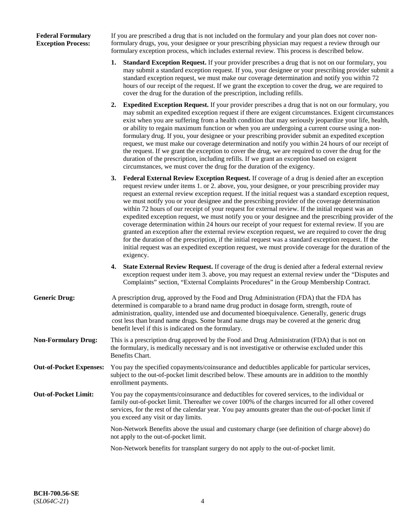## **Federal Formulary Exception Process:**

If you are prescribed a drug that is not included on the formulary and your plan does not cover nonformulary drugs, you, your designee or your prescribing physician may request a review through our formulary exception process, which includes external review. This process is described below.

- **1. Standard Exception Request.** If your provider prescribes a drug that is not on our formulary, you may submit a standard exception request. If you, your designee or your prescribing provider submit a standard exception request, we must make our coverage determination and notify you within 72 hours of our receipt of the request. If we grant the exception to cover the drug, we are required to cover the drug for the duration of the prescription, including refills.
- **2. Expedited Exception Request.** If your provider prescribes a drug that is not on our formulary, you may submit an expedited exception request if there are exigent circumstances. Exigent circumstances exist when you are suffering from a health condition that may seriously jeopardize your life, health, or ability to regain maximum function or when you are undergoing a current course using a nonformulary drug. If you, your designee or your prescribing provider submit an expedited exception request, we must make our coverage determination and notify you within 24 hours of our receipt of the request. If we grant the exception to cover the drug, we are required to cover the drug for the duration of the prescription, including refills. If we grant an exception based on exigent circumstances, we must cover the drug for the duration of the exigency.
- **3. Federal External Review Exception Request.** If coverage of a drug is denied after an exception request review under items 1. or 2. above, you, your designee, or your prescribing provider may request an external review exception request. If the initial request was a standard exception request, we must notify you or your designee and the prescribing provider of the coverage determination within 72 hours of our receipt of your request for external review. If the initial request was an expedited exception request, we must notify you or your designee and the prescribing provider of the coverage determination within 24 hours our receipt of your request for external review. If you are granted an exception after the external review exception request, we are required to cover the drug for the duration of the prescription, if the initial request was a standard exception request. If the initial request was an expedited exception request, we must provide coverage for the duration of the exigency.
- **4. State External Review Request.** If coverage of the drug is denied after a federal external review exception request under item 3. above, you may request an external review under the "Disputes and Complaints" section, "External Complaints Procedures" in the Group Membership Contract.
- **Generic Drug:** A prescription drug, approved by the Food and Drug Administration (FDA) that the FDA has determined is comparable to a brand name drug product in dosage form, strength, route of administration, quality, intended use and documented bioequivalence. Generally, generic drugs cost less than brand name drugs. Some brand name drugs may be covered at the generic drug benefit level if this is indicated on the formulary.
- **Non-Formulary Drug:** This is a prescription drug approved by the Food and Drug Administration (FDA) that is not on the formulary, is medically necessary and is not investigative or otherwise excluded under this Benefits Chart.
- **Out-of-Pocket Expenses:** You pay the specified copayments/coinsurance and deductibles applicable for particular services, subject to the out-of-pocket limit described below. These amounts are in addition to the monthly enrollment payments.
- **Out-of-Pocket Limit:** You pay the copayments/coinsurance and deductibles for covered services, to the individual or family out-of-pocket limit. Thereafter we cover 100% of the charges incurred for all other covered services, for the rest of the calendar year. You pay amounts greater than the out-of-pocket limit if you exceed any visit or day limits.

Non-Network Benefits above the usual and customary charge (see definition of charge above) do not apply to the out-of-pocket limit.

Non-Network benefits for transplant surgery do not apply to the out-of-pocket limit.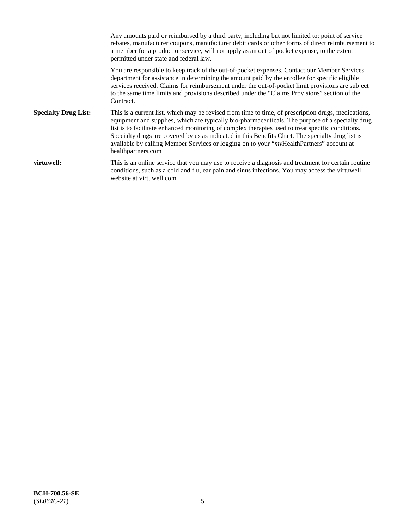Any amounts paid or reimbursed by a third party, including but not limited to: point of service rebates, manufacturer coupons, manufacturer debit cards or other forms of direct reimbursement to a member for a product or service, will not apply as an out of pocket expense, to the extent permitted under state and federal law. You are responsible to keep track of the out-of-pocket expenses. Contact our Member Services department for assistance in determining the amount paid by the enrollee for specific eligible services received. Claims for reimbursement under the out-of-pocket limit provisions are subject to the same time limits and provisions described under the "Claims Provisions" section of the Contract. **Specialty Drug List:** This is a current list, which may be revised from time to time, of prescription drugs, medications, equipment and supplies, which are typically bio-pharmaceuticals. The purpose of a specialty drug list is to facilitate enhanced monitoring of complex therapies used to treat specific conditions. Specialty drugs are covered by us as indicated in this Benefits Chart. The specialty drug list is available by calling Member Services or logging on to your "*my*HealthPartners" account at [healthpartners.com](https://www.healthpartners.com/hp/index.html) **virtuwell:** This is an online service that you may use to receive a diagnosis and treatment for certain routine conditions, such as a cold and flu, ear pain and sinus infections. You may access the virtuwell website at [virtuwell.com.](https://www.virtuwell.com/)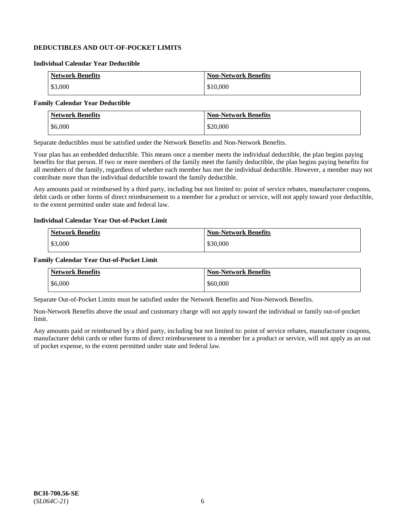## **DEDUCTIBLES AND OUT-OF-POCKET LIMITS**

### **Individual Calendar Year Deductible**

| <b>Network Benefits</b> | <b>Non-Network Benefits</b> |
|-------------------------|-----------------------------|
| \$3,000                 | \$10,000                    |

## **Family Calendar Year Deductible**

| <b>Network Benefits</b> | <b>Non-Network Benefits</b> |
|-------------------------|-----------------------------|
| \$6,000                 | \$20,000                    |

Separate deductibles must be satisfied under the Network Benefits and Non-Network Benefits.

Your plan has an embedded deductible. This means once a member meets the individual deductible, the plan begins paying benefits for that person. If two or more members of the family meet the family deductible, the plan begins paying benefits for all members of the family, regardless of whether each member has met the individual deductible. However, a member may not contribute more than the individual deductible toward the family deductible.

Any amounts paid or reimbursed by a third party, including but not limited to: point of service rebates, manufacturer coupons, debit cards or other forms of direct reimbursement to a member for a product or service, will not apply toward your deductible, to the extent permitted under state and federal law.

#### **Individual Calendar Year Out-of-Pocket Limit**

| <b>Network Benefits</b> | <b>Non-Network Benefits</b> |
|-------------------------|-----------------------------|
| \$3,000                 | \$30,000                    |

#### **Family Calendar Year Out-of-Pocket Limit**

| <b>Network Benefits</b> | <b>Non-Network Benefits</b> |
|-------------------------|-----------------------------|
| \$6,000                 | \$60,000                    |

Separate Out-of-Pocket Limits must be satisfied under the Network Benefits and Non-Network Benefits.

Non-Network Benefits above the usual and customary charge will not apply toward the individual or family out-of-pocket limit.

Any amounts paid or reimbursed by a third party, including but not limited to: point of service rebates, manufacturer coupons, manufacturer debit cards or other forms of direct reimbursement to a member for a product or service, will not apply as an out of pocket expense, to the extent permitted under state and federal law.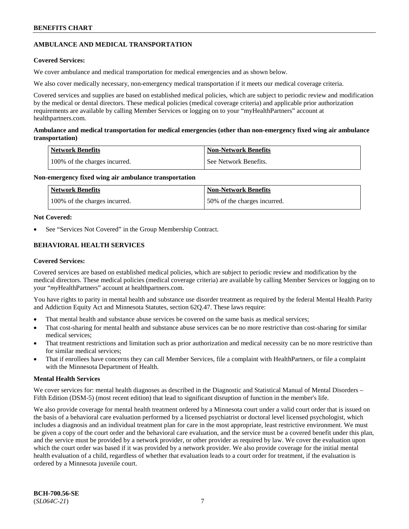## **AMBULANCE AND MEDICAL TRANSPORTATION**

## **Covered Services:**

We cover ambulance and medical transportation for medical emergencies and as shown below.

We also cover medically necessary, non-emergency medical transportation if it meets our medical coverage criteria.

Covered services and supplies are based on established medical policies, which are subject to periodic review and modification by the medical or dental directors. These medical policies (medical coverage criteria) and applicable prior authorization requirements are available by calling Member Services or logging on to your "myHealthPartners" account at [healthpartners.com.](https://www.healthpartners.com/hp/index.html)

## **Ambulance and medical transportation for medical emergencies (other than non-emergency fixed wing air ambulance transportation)**

| Network Benefits              | <b>Non-Network Benefits</b> |
|-------------------------------|-----------------------------|
| 100% of the charges incurred. | See Network Benefits.       |

## **Non-emergency fixed wing air ambulance transportation**

| Network Benefits              | <b>Non-Network Benefits</b>  |
|-------------------------------|------------------------------|
| 100% of the charges incurred. | 50% of the charges incurred. |

## **Not Covered:**

See "Services Not Covered" in the Group Membership Contract.

## **BEHAVIORAL HEALTH SERVICES**

## **Covered Services:**

Covered services are based on established medical policies, which are subject to periodic review and modification by the medical directors. These medical policies (medical coverage criteria) are available by calling Member Services or logging on to your "*my*HealthPartners" account at [healthpartners.com.](http://www.healthpartners.com/)

You have rights to parity in mental health and substance use disorder treatment as required by the federal Mental Health Parity and Addiction Equity Act and Minnesota Statutes, section 62Q.47. These laws require:

- That mental health and substance abuse services be covered on the same basis as medical services;
- That cost-sharing for mental health and substance abuse services can be no more restrictive than cost-sharing for similar medical services;
- That treatment restrictions and limitation such as prior authorization and medical necessity can be no more restrictive than for similar medical services;
- That if enrollees have concerns they can call Member Services, file a complaint with HealthPartners, or file a complaint with the Minnesota Department of Health.

## **Mental Health Services**

We cover services for: mental health diagnoses as described in the Diagnostic and Statistical Manual of Mental Disorders – Fifth Edition (DSM-5) (most recent edition) that lead to significant disruption of function in the member's life.

We also provide coverage for mental health treatment ordered by a Minnesota court under a valid court order that is issued on the basis of a behavioral care evaluation performed by a licensed psychiatrist or doctoral level licensed psychologist, which includes a diagnosis and an individual treatment plan for care in the most appropriate, least restrictive environment. We must be given a copy of the court order and the behavioral care evaluation, and the service must be a covered benefit under this plan, and the service must be provided by a network provider, or other provider as required by law. We cover the evaluation upon which the court order was based if it was provided by a network provider. We also provide coverage for the initial mental health evaluation of a child, regardless of whether that evaluation leads to a court order for treatment, if the evaluation is ordered by a Minnesota juvenile court.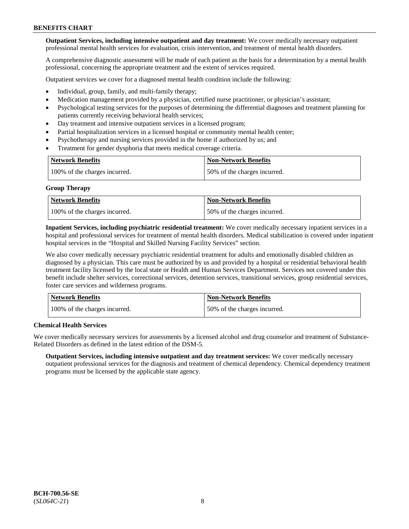**Outpatient Services, including intensive outpatient and day treatment:** We cover medically necessary outpatient professional mental health services for evaluation, crisis intervention, and treatment of mental health disorders.

A comprehensive diagnostic assessment will be made of each patient as the basis for a determination by a mental health professional, concerning the appropriate treatment and the extent of services required.

Outpatient services we cover for a diagnosed mental health condition include the following:

- Individual, group, family, and multi-family therapy;
- Medication management provided by a physician, certified nurse practitioner, or physician's assistant;
- Psychological testing services for the purposes of determining the differential diagnoses and treatment planning for patients currently receiving behavioral health services;
- Day treatment and intensive outpatient services in a licensed program;
- Partial hospitalization services in a licensed hospital or community mental health center;
- Psychotherapy and nursing services provided in the home if authorized by us; and
- Treatment for gender dysphoria that meets medical coverage criteria.

| <b>Network Benefits</b>       | <b>Non-Network Benefits</b>  |
|-------------------------------|------------------------------|
| 100% of the charges incurred. | 50% of the charges incurred. |

#### **Group Therapy**

| Network Benefits              | <b>Non-Network Benefits</b>  |
|-------------------------------|------------------------------|
| 100% of the charges incurred. | 50% of the charges incurred. |

**Inpatient Services, including psychiatric residential treatment:** We cover medically necessary inpatient services in a hospital and professional services for treatment of mental health disorders. Medical stabilization is covered under inpatient hospital services in the "Hospital and Skilled Nursing Facility Services" section.

We also cover medically necessary psychiatric residential treatment for adults and emotionally disabled children as diagnosed by a physician. This care must be authorized by us and provided by a hospital or residential behavioral health treatment facility licensed by the local state or Health and Human Services Department. Services not covered under this benefit include shelter services, correctional services, detention services, transitional services, group residential services, foster care services and wilderness programs.

| Network Benefits              | <b>Non-Network Benefits</b>  |
|-------------------------------|------------------------------|
| 100% of the charges incurred. | 50% of the charges incurred. |

## **Chemical Health Services**

We cover medically necessary services for assessments by a licensed alcohol and drug counselor and treatment of Substance-Related Disorders as defined in the latest edition of the DSM-5.

**Outpatient Services, including intensive outpatient and day treatment services:** We cover medically necessary outpatient professional services for the diagnosis and treatment of chemical dependency. Chemical dependency treatment programs must be licensed by the applicable state agency.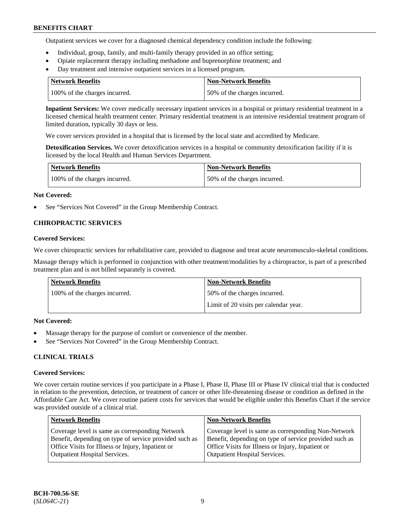Outpatient services we cover for a diagnosed chemical dependency condition include the following:

- Individual, group, family, and multi-family therapy provided in an office setting;
- Opiate replacement therapy including methadone and buprenorphine treatment; and
- Day treatment and intensive outpatient services in a licensed program.

| Network Benefits              | <b>Non-Network Benefits</b>  |
|-------------------------------|------------------------------|
| 100% of the charges incurred. | 50% of the charges incurred. |

**Inpatient Services:** We cover medically necessary inpatient services in a hospital or primary residential treatment in a licensed chemical health treatment center. Primary residential treatment is an intensive residential treatment program of limited duration, typically 30 days or less.

We cover services provided in a hospital that is licensed by the local state and accredited by Medicare.

**Detoxification Services.** We cover detoxification services in a hospital or community detoxification facility if it is licensed by the local Health and Human Services Department.

| <b>Network Benefits</b>       | <b>Non-Network Benefits</b>  |
|-------------------------------|------------------------------|
| 100% of the charges incurred. | 50% of the charges incurred. |

## **Not Covered:**

See "Services Not Covered" in the Group Membership Contract.

## **CHIROPRACTIC SERVICES**

## **Covered Services:**

We cover chiropractic services for rehabilitative care, provided to diagnose and treat acute neuromusculo-skeletal conditions.

Massage therapy which is performed in conjunction with other treatment/modalities by a chiropractor, is part of a prescribed treatment plan and is not billed separately is covered.

| Network Benefits              | <b>Non-Network Benefits</b>           |
|-------------------------------|---------------------------------------|
| 100% of the charges incurred. | 50% of the charges incurred.          |
|                               | Limit of 20 visits per calendar year. |

## **Not Covered:**

- Massage therapy for the purpose of comfort or convenience of the member.
- See "Services Not Covered" in the Group Membership Contract.

## **CLINICAL TRIALS**

## **Covered Services:**

We cover certain routine services if you participate in a Phase I, Phase II, Phase III or Phase IV clinical trial that is conducted in relation to the prevention, detection, or treatment of cancer or other life-threatening disease or condition as defined in the Affordable Care Act. We cover routine patient costs for services that would be eligible under this Benefits Chart if the service was provided outside of a clinical trial.

| <b>Network Benefits</b>                                                                                                                                                                                | <b>Non-Network Benefits</b>                                                                                                                                                                                |
|--------------------------------------------------------------------------------------------------------------------------------------------------------------------------------------------------------|------------------------------------------------------------------------------------------------------------------------------------------------------------------------------------------------------------|
| Coverage level is same as corresponding Network<br>Benefit, depending on type of service provided such as<br>Office Visits for Illness or Injury, Inpatient or<br><b>Outpatient Hospital Services.</b> | Coverage level is same as corresponding Non-Network<br>Benefit, depending on type of service provided such as<br>Office Visits for Illness or Injury, Inpatient or<br><b>Outpatient Hospital Services.</b> |
|                                                                                                                                                                                                        |                                                                                                                                                                                                            |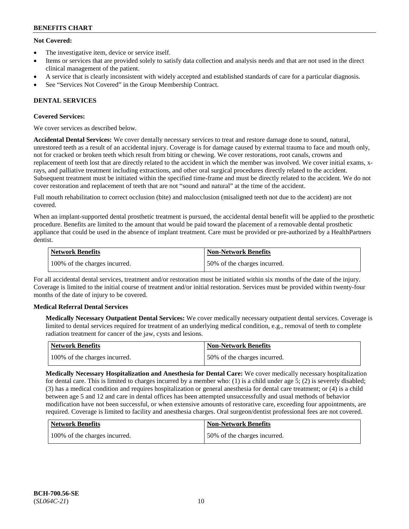## **Not Covered:**

- The investigative item, device or service itself.
- Items or services that are provided solely to satisfy data collection and analysis needs and that are not used in the direct clinical management of the patient.
- A service that is clearly inconsistent with widely accepted and established standards of care for a particular diagnosis.
- See "Services Not Covered" in the Group Membership Contract.

## **DENTAL SERVICES**

## **Covered Services:**

We cover services as described below.

**Accidental Dental Services:** We cover dentally necessary services to treat and restore damage done to sound, natural, unrestored teeth as a result of an accidental injury. Coverage is for damage caused by external trauma to face and mouth only, not for cracked or broken teeth which result from biting or chewing. We cover restorations, root canals, crowns and replacement of teeth lost that are directly related to the accident in which the member was involved. We cover initial exams, xrays, and palliative treatment including extractions, and other oral surgical procedures directly related to the accident. Subsequent treatment must be initiated within the specified time-frame and must be directly related to the accident. We do not cover restoration and replacement of teeth that are not "sound and natural" at the time of the accident.

Full mouth rehabilitation to correct occlusion (bite) and malocclusion (misaligned teeth not due to the accident) are not covered.

When an implant-supported dental prosthetic treatment is pursued, the accidental dental benefit will be applied to the prosthetic procedure. Benefits are limited to the amount that would be paid toward the placement of a removable dental prosthetic appliance that could be used in the absence of implant treatment. Care must be provided or pre-authorized by a HealthPartners dentist.

| Network Benefits              | <b>Non-Network Benefits</b>  |
|-------------------------------|------------------------------|
| 100% of the charges incurred. | 50% of the charges incurred. |

For all accidental dental services, treatment and/or restoration must be initiated within six months of the date of the injury. Coverage is limited to the initial course of treatment and/or initial restoration. Services must be provided within twenty-four months of the date of injury to be covered.

## **Medical Referral Dental Services**

**Medically Necessary Outpatient Dental Services:** We cover medically necessary outpatient dental services. Coverage is limited to dental services required for treatment of an underlying medical condition, e.g., removal of teeth to complete radiation treatment for cancer of the jaw, cysts and lesions.

| Network Benefits              | <b>Non-Network Benefits</b>  |
|-------------------------------|------------------------------|
| 100% of the charges incurred. | 50% of the charges incurred. |

**Medically Necessary Hospitalization and Anesthesia for Dental Care:** We cover medically necessary hospitalization for dental care. This is limited to charges incurred by a member who: (1) is a child under age  $5$ ; (2) is severely disabled; (3) has a medical condition and requires hospitalization or general anesthesia for dental care treatment; or (4) is a child between age 5 and 12 and care in dental offices has been attempted unsuccessfully and usual methods of behavior modification have not been successful, or when extensive amounts of restorative care, exceeding four appointments, are required. Coverage is limited to facility and anesthesia charges. Oral surgeon/dentist professional fees are not covered.

| Network Benefits              | <b>Non-Network Benefits</b>  |
|-------------------------------|------------------------------|
| 100% of the charges incurred. | 50% of the charges incurred. |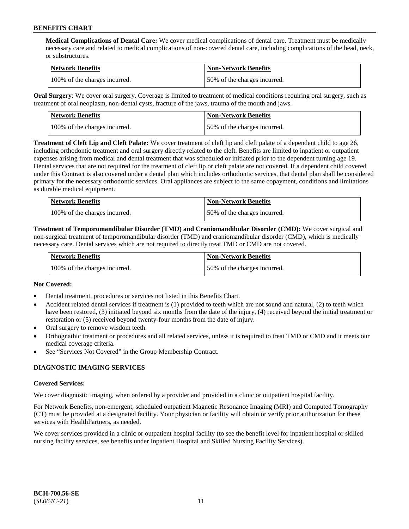**Medical Complications of Dental Care:** We cover medical complications of dental care. Treatment must be medically necessary care and related to medical complications of non-covered dental care, including complications of the head, neck, or substructures.

| Network Benefits              | <b>Non-Network Benefits</b>  |
|-------------------------------|------------------------------|
| 100% of the charges incurred. | 50% of the charges incurred. |

**Oral Surgery**: We cover oral surgery. Coverage is limited to treatment of medical conditions requiring oral surgery, such as treatment of oral neoplasm, non-dental cysts, fracture of the jaws, trauma of the mouth and jaws.

| Network Benefits              | <b>Non-Network Benefits</b>  |
|-------------------------------|------------------------------|
| 100% of the charges incurred. | 50% of the charges incurred. |

**Treatment of Cleft Lip and Cleft Palate:** We cover treatment of cleft lip and cleft palate of a dependent child to age 26, including orthodontic treatment and oral surgery directly related to the cleft. Benefits are limited to inpatient or outpatient expenses arising from medical and dental treatment that was scheduled or initiated prior to the dependent turning age 19. Dental services that are not required for the treatment of cleft lip or cleft palate are not covered. If a dependent child covered under this Contract is also covered under a dental plan which includes orthodontic services, that dental plan shall be considered primary for the necessary orthodontic services. Oral appliances are subject to the same copayment, conditions and limitations as durable medical equipment.

| <b>Network Benefits</b>       | <b>Non-Network Benefits</b>  |
|-------------------------------|------------------------------|
| 100% of the charges incurred. | 50% of the charges incurred. |

**Treatment of Temporomandibular Disorder (TMD) and Craniomandibular Disorder (CMD):** We cover surgical and non-surgical treatment of temporomandibular disorder (TMD) and craniomandibular disorder (CMD), which is medically necessary care. Dental services which are not required to directly treat TMD or CMD are not covered.

| <b>Network Benefits</b>       | <b>Non-Network Benefits</b>  |
|-------------------------------|------------------------------|
| 100% of the charges incurred. | 50% of the charges incurred. |

## **Not Covered:**

- Dental treatment, procedures or services not listed in this Benefits Chart.
- Accident related dental services if treatment is (1) provided to teeth which are not sound and natural, (2) to teeth which have been restored, (3) initiated beyond six months from the date of the injury, (4) received beyond the initial treatment or restoration or (5) received beyond twenty-four months from the date of injury.
- Oral surgery to remove wisdom teeth.
- Orthognathic treatment or procedures and all related services, unless it is required to treat TMD or CMD and it meets our medical coverage criteria.
- See "Services Not Covered" in the Group Membership Contract.

## **DIAGNOSTIC IMAGING SERVICES**

#### **Covered Services:**

We cover diagnostic imaging, when ordered by a provider and provided in a clinic or outpatient hospital facility.

For Network Benefits, non-emergent, scheduled outpatient Magnetic Resonance Imaging (MRI) and Computed Tomography (CT) must be provided at a designated facility. Your physician or facility will obtain or verify prior authorization for these services with HealthPartners, as needed.

We cover services provided in a clinic or outpatient hospital facility (to see the benefit level for inpatient hospital or skilled nursing facility services, see benefits under Inpatient Hospital and Skilled Nursing Facility Services).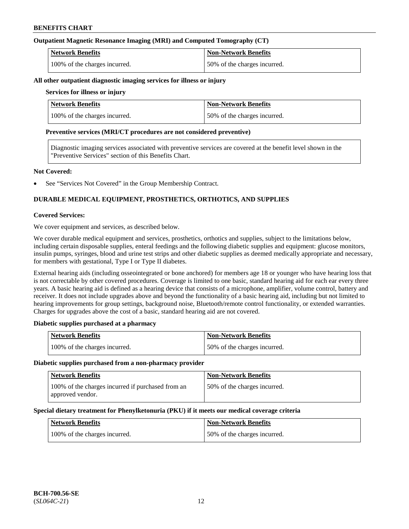## **Outpatient Magnetic Resonance Imaging (MRI) and Computed Tomography (CT)**

| <b>Network Benefits</b>       | <b>Non-Network Benefits</b>  |
|-------------------------------|------------------------------|
| 100% of the charges incurred. | 50% of the charges incurred. |

#### **All other outpatient diagnostic imaging services for illness or injury**

### **Services for illness or injury**

| <b>Network Benefits</b>       | <b>Non-Network Benefits</b>  |
|-------------------------------|------------------------------|
| 100% of the charges incurred. | 50% of the charges incurred. |

#### **Preventive services (MRI/CT procedures are not considered preventive)**

Diagnostic imaging services associated with preventive services are covered at the benefit level shown in the "Preventive Services" section of this Benefits Chart.

#### **Not Covered:**

See "Services Not Covered" in the Group Membership Contract.

## **DURABLE MEDICAL EQUIPMENT, PROSTHETICS, ORTHOTICS, AND SUPPLIES**

#### **Covered Services:**

We cover equipment and services, as described below.

We cover durable medical equipment and services, prosthetics, orthotics and supplies, subject to the limitations below, including certain disposable supplies, enteral feedings and the following diabetic supplies and equipment: glucose monitors, insulin pumps, syringes, blood and urine test strips and other diabetic supplies as deemed medically appropriate and necessary, for members with gestational, Type I or Type II diabetes.

External hearing aids (including osseointegrated or bone anchored) for members age 18 or younger who have hearing loss that is not correctable by other covered procedures. Coverage is limited to one basic, standard hearing aid for each ear every three years. A basic hearing aid is defined as a hearing device that consists of a microphone, amplifier, volume control, battery and receiver. It does not include upgrades above and beyond the functionality of a basic hearing aid, including but not limited to hearing improvements for group settings, background noise, Bluetooth/remote control functionality, or extended warranties. Charges for upgrades above the cost of a basic, standard hearing aid are not covered.

## **Diabetic supplies purchased at a pharmacy**

| <b>Network Benefits</b>       | <b>Non-Network Benefits</b>  |
|-------------------------------|------------------------------|
| 100% of the charges incurred. | 50% of the charges incurred. |

#### **Diabetic supplies purchased from a non-pharmacy provider**

| <b>Network Benefits</b>                                               | <b>Non-Network Benefits</b>  |
|-----------------------------------------------------------------------|------------------------------|
| 100% of the charges incurred if purchased from an<br>approved vendor. | 50% of the charges incurred. |

#### **Special dietary treatment for Phenylketonuria (PKU) if it meets our medical coverage criteria**

| <b>Network Benefits</b>       | <b>Non-Network Benefits</b>  |
|-------------------------------|------------------------------|
| 100% of the charges incurred. | 50% of the charges incurred. |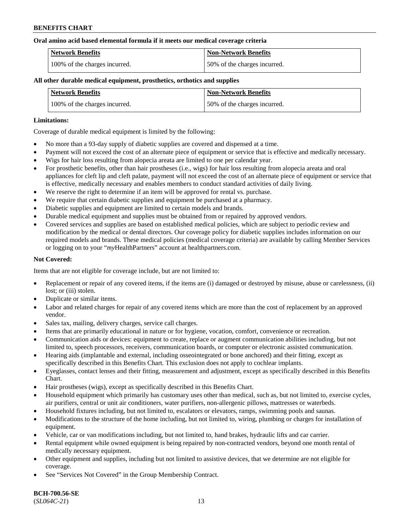#### **Oral amino acid based elemental formula if it meets our medical coverage criteria**

| Network Benefits              | <b>Non-Network Benefits</b>  |
|-------------------------------|------------------------------|
| 100% of the charges incurred. | 50% of the charges incurred. |

### **All other durable medical equipment, prosthetics, orthotics and supplies**

| <b>Network Benefits</b>       | <b>Non-Network Benefits</b>  |
|-------------------------------|------------------------------|
| 100% of the charges incurred. | 50% of the charges incurred. |

#### **Limitations:**

Coverage of durable medical equipment is limited by the following:

- No more than a 93-day supply of diabetic supplies are covered and dispensed at a time.
- Payment will not exceed the cost of an alternate piece of equipment or service that is effective and medically necessary.
- Wigs for hair loss resulting from alopecia areata are limited to one per calendar year.
- For prosthetic benefits, other than hair prostheses (i.e., wigs) for hair loss resulting from alopecia areata and oral appliances for cleft lip and cleft palate, payment will not exceed the cost of an alternate piece of equipment or service that is effective, medically necessary and enables members to conduct standard activities of daily living.
- We reserve the right to determine if an item will be approved for rental vs. purchase.
- We require that certain diabetic supplies and equipment be purchased at a pharmacy.
- Diabetic supplies and equipment are limited to certain models and brands.
- Durable medical equipment and supplies must be obtained from or repaired by approved vendors.
- Covered services and supplies are based on established medical policies, which are subject to periodic review and modification by the medical or dental directors. Our coverage policy for diabetic supplies includes information on our required models and brands. These medical policies (medical coverage criteria) are available by calling Member Services or logging on to your "*my*HealthPartners" account a[t healthpartners.com.](https://www.healthpartners.com/hp/index.html)

## **Not Covered:**

Items that are not eligible for coverage include, but are not limited to:

- Replacement or repair of any covered items, if the items are (i) damaged or destroyed by misuse, abuse or carelessness, (ii) lost; or (iii) stolen.
- Duplicate or similar items.
- Labor and related charges for repair of any covered items which are more than the cost of replacement by an approved vendor.
- Sales tax, mailing, delivery charges, service call charges.
- Items that are primarily educational in nature or for hygiene, vocation, comfort, convenience or recreation.
- Communication aids or devices: equipment to create, replace or augment communication abilities including, but not limited to, speech processors, receivers, communication boards, or computer or electronic assisted communication.
- Hearing aids (implantable and external, including osseointegrated or bone anchored) and their fitting, except as specifically described in this Benefits Chart. This exclusion does not apply to cochlear implants.
- Eyeglasses, contact lenses and their fitting, measurement and adjustment, except as specifically described in this Benefits Chart.
- Hair prostheses (wigs), except as specifically described in this Benefits Chart.
- Household equipment which primarily has customary uses other than medical, such as, but not limited to, exercise cycles, air purifiers, central or unit air conditioners, water purifiers, non-allergenic pillows, mattresses or waterbeds.
- Household fixtures including, but not limited to, escalators or elevators, ramps, swimming pools and saunas.
- Modifications to the structure of the home including, but not limited to, wiring, plumbing or charges for installation of equipment.
- Vehicle, car or van modifications including, but not limited to, hand brakes, hydraulic lifts and car carrier.
- Rental equipment while owned equipment is being repaired by non-contracted vendors, beyond one month rental of medically necessary equipment.
- Other equipment and supplies, including but not limited to assistive devices, that we determine are not eligible for coverage.
- See "Services Not Covered" in the Group Membership Contract.

**BCH-700.56-SE** (*SL064C-21*) 13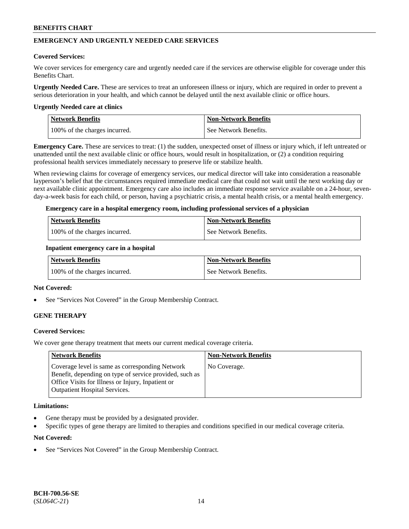## **EMERGENCY AND URGENTLY NEEDED CARE SERVICES**

#### **Covered Services:**

We cover services for emergency care and urgently needed care if the services are otherwise eligible for coverage under this Benefits Chart.

**Urgently Needed Care.** These are services to treat an unforeseen illness or injury, which are required in order to prevent a serious deterioration in your health, and which cannot be delayed until the next available clinic or office hours.

#### **Urgently Needed care at clinics**

| <b>Network Benefits</b>       | <b>Non-Network Benefits</b> |
|-------------------------------|-----------------------------|
| 100% of the charges incurred. | See Network Benefits.       |

**Emergency Care.** These are services to treat: (1) the sudden, unexpected onset of illness or injury which, if left untreated or unattended until the next available clinic or office hours, would result in hospitalization, or (2) a condition requiring professional health services immediately necessary to preserve life or stabilize health.

When reviewing claims for coverage of emergency services, our medical director will take into consideration a reasonable layperson's belief that the circumstances required immediate medical care that could not wait until the next working day or next available clinic appointment. Emergency care also includes an immediate response service available on a 24-hour, sevenday-a-week basis for each child, or person, having a psychiatric crisis, a mental health crisis, or a mental health emergency.

#### **Emergency care in a hospital emergency room, including professional services of a physician**

| <b>Network Benefits</b>       | Non-Network Benefits    |
|-------------------------------|-------------------------|
| 100% of the charges incurred. | l See Network Benefits. |

#### **Inpatient emergency care in a hospital**

| Network Benefits              | Non-Network Benefits  |
|-------------------------------|-----------------------|
| 100% of the charges incurred. | See Network Benefits. |

#### **Not Covered:**

See "Services Not Covered" in the Group Membership Contract.

## **GENE THERAPY**

## **Covered Services:**

We cover gene therapy treatment that meets our current medical coverage criteria.

| <b>Network Benefits</b>                                                                                                                                                                                 | <b>Non-Network Benefits</b> |
|---------------------------------------------------------------------------------------------------------------------------------------------------------------------------------------------------------|-----------------------------|
| Coverage level is same as corresponding Network<br>Benefit, depending on type of service provided, such as<br>Office Visits for Illness or Injury, Inpatient or<br><b>Outpatient Hospital Services.</b> | No Coverage.                |

#### **Limitations:**

- Gene therapy must be provided by a designated provider.
- Specific types of gene therapy are limited to therapies and conditions specified in our medical coverage criteria.

#### **Not Covered:**

See "Services Not Covered" in the Group Membership Contract.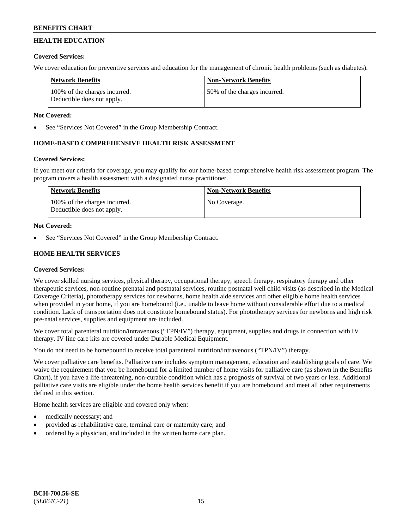## **HEALTH EDUCATION**

## **Covered Services:**

We cover education for preventive services and education for the management of chronic health problems (such as diabetes).

| Network Benefits                                            | <b>Non-Network Benefits</b>   |
|-------------------------------------------------------------|-------------------------------|
| 100% of the charges incurred.<br>Deductible does not apply. | 150% of the charges incurred. |

## **Not Covered:**

See "Services Not Covered" in the Group Membership Contract.

## **HOME-BASED COMPREHENSIVE HEALTH RISK ASSESSMENT**

## **Covered Services:**

If you meet our criteria for coverage, you may qualify for our home-based comprehensive health risk assessment program. The program covers a health assessment with a designated nurse practitioner.

| Network Benefits                                            | <b>Non-Network Benefits</b> |
|-------------------------------------------------------------|-----------------------------|
| 100% of the charges incurred.<br>Deductible does not apply. | No Coverage.                |

## **Not Covered:**

See "Services Not Covered" in the Group Membership Contract.

## **HOME HEALTH SERVICES**

## **Covered Services:**

We cover skilled nursing services, physical therapy, occupational therapy, speech therapy, respiratory therapy and other therapeutic services, non-routine prenatal and postnatal services, routine postnatal well child visits (as described in the Medical Coverage Criteria), phototherapy services for newborns, home health aide services and other eligible home health services when provided in your home, if you are homebound (i.e., unable to leave home without considerable effort due to a medical condition. Lack of transportation does not constitute homebound status). For phototherapy services for newborns and high risk pre-natal services, supplies and equipment are included.

We cover total parenteral nutrition/intravenous ("TPN/IV") therapy, equipment, supplies and drugs in connection with IV therapy. IV line care kits are covered under Durable Medical Equipment.

You do not need to be homebound to receive total parenteral nutrition/intravenous ("TPN/IV") therapy.

We cover palliative care benefits. Palliative care includes symptom management, education and establishing goals of care. We waive the requirement that you be homebound for a limited number of home visits for palliative care (as shown in the Benefits Chart), if you have a life-threatening, non-curable condition which has a prognosis of survival of two years or less. Additional palliative care visits are eligible under the home health services benefit if you are homebound and meet all other requirements defined in this section.

Home health services are eligible and covered only when:

- medically necessary; and
- provided as rehabilitative care, terminal care or maternity care; and
- ordered by a physician, and included in the written home care plan.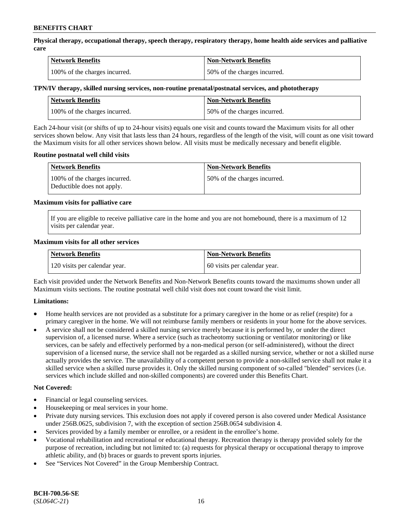**Physical therapy, occupational therapy, speech therapy, respiratory therapy, home health aide services and palliative care**

| <b>Network Benefits</b>       | <b>Non-Network Benefits</b>  |
|-------------------------------|------------------------------|
| 100% of the charges incurred. | 50% of the charges incurred. |

## **TPN/IV therapy, skilled nursing services, non-routine prenatal/postnatal services, and phototherapy**

| <b>Network Benefits</b>       | <b>Non-Network Benefits</b>  |
|-------------------------------|------------------------------|
| 100% of the charges incurred. | 50% of the charges incurred. |

Each 24-hour visit (or shifts of up to 24-hour visits) equals one visit and counts toward the Maximum visits for all other services shown below. Any visit that lasts less than 24 hours, regardless of the length of the visit, will count as one visit toward the Maximum visits for all other services shown below. All visits must be medically necessary and benefit eligible.

#### **Routine postnatal well child visits**

| Network Benefits                                            | <b>Non-Network Benefits</b>  |
|-------------------------------------------------------------|------------------------------|
| 100% of the charges incurred.<br>Deductible does not apply. | 50% of the charges incurred. |

#### **Maximum visits for palliative care**

If you are eligible to receive palliative care in the home and you are not homebound, there is a maximum of 12 visits per calendar year.

#### **Maximum visits for all other services**

| <b>Network Benefits</b>       | <b>Non-Network Benefits</b>  |
|-------------------------------|------------------------------|
| 120 visits per calendar year. | 60 visits per calendar year. |

Each visit provided under the Network Benefits and Non-Network Benefits counts toward the maximums shown under all Maximum visits sections. The routine postnatal well child visit does not count toward the visit limit.

## **Limitations:**

- Home health services are not provided as a substitute for a primary caregiver in the home or as relief (respite) for a primary caregiver in the home. We will not reimburse family members or residents in your home for the above services.
- A service shall not be considered a skilled nursing service merely because it is performed by, or under the direct supervision of, a licensed nurse. Where a service (such as tracheotomy suctioning or ventilator monitoring) or like services, can be safely and effectively performed by a non-medical person (or self-administered), without the direct supervision of a licensed nurse, the service shall not be regarded as a skilled nursing service, whether or not a skilled nurse actually provides the service. The unavailability of a competent person to provide a non-skilled service shall not make it a skilled service when a skilled nurse provides it. Only the skilled nursing component of so-called "blended" services (i.e. services which include skilled and non-skilled components) are covered under this Benefits Chart.

#### **Not Covered:**

- Financial or legal counseling services.
- Housekeeping or meal services in your home.
- Private duty nursing services. This exclusion does not apply if covered person is also covered under Medical Assistance under 256B.0625, subdivision 7, with the exception of section 256B.0654 subdivision 4.
- Services provided by a family member or enrollee, or a resident in the enrollee's home.
- Vocational rehabilitation and recreational or educational therapy. Recreation therapy is therapy provided solely for the purpose of recreation, including but not limited to: (a) requests for physical therapy or occupational therapy to improve athletic ability, and (b) braces or guards to prevent sports injuries.
- See "Services Not Covered" in the Group Membership Contract.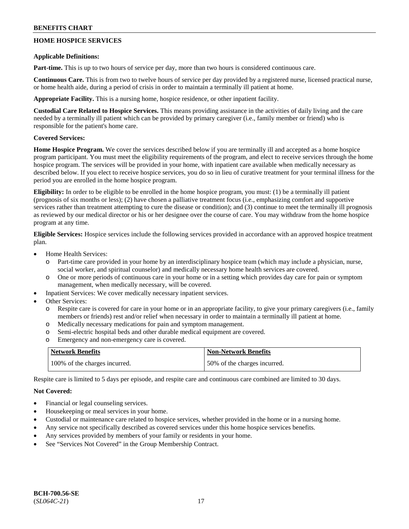## **HOME HOSPICE SERVICES**

### **Applicable Definitions:**

**Part-time.** This is up to two hours of service per day, more than two hours is considered continuous care.

**Continuous Care.** This is from two to twelve hours of service per day provided by a registered nurse, licensed practical nurse, or home health aide, during a period of crisis in order to maintain a terminally ill patient at home.

**Appropriate Facility.** This is a nursing home, hospice residence, or other inpatient facility.

**Custodial Care Related to Hospice Services.** This means providing assistance in the activities of daily living and the care needed by a terminally ill patient which can be provided by primary caregiver (i.e., family member or friend) who is responsible for the patient's home care.

## **Covered Services:**

**Home Hospice Program.** We cover the services described below if you are terminally ill and accepted as a home hospice program participant. You must meet the eligibility requirements of the program, and elect to receive services through the home hospice program. The services will be provided in your home, with inpatient care available when medically necessary as described below. If you elect to receive hospice services, you do so in lieu of curative treatment for your terminal illness for the period you are enrolled in the home hospice program.

**Eligibility:** In order to be eligible to be enrolled in the home hospice program, you must: (1) be a terminally ill patient (prognosis of six months or less); (2) have chosen a palliative treatment focus (i.e., emphasizing comfort and supportive services rather than treatment attempting to cure the disease or condition); and (3) continue to meet the terminally ill prognosis as reviewed by our medical director or his or her designee over the course of care. You may withdraw from the home hospice program at any time.

**Eligible Services:** Hospice services include the following services provided in accordance with an approved hospice treatment plan.

- Home Health Services:
	- o Part-time care provided in your home by an interdisciplinary hospice team (which may include a physician, nurse, social worker, and spiritual counselor) and medically necessary home health services are covered.
	- o One or more periods of continuous care in your home or in a setting which provides day care for pain or symptom management, when medically necessary, will be covered.
- Inpatient Services: We cover medically necessary inpatient services.
- Other Services:
	- o Respite care is covered for care in your home or in an appropriate facility, to give your primary caregivers (i.e., family members or friends) rest and/or relief when necessary in order to maintain a terminally ill patient at home.
	- o Medically necessary medications for pain and symptom management.
	- o Semi-electric hospital beds and other durable medical equipment are covered.
	- o Emergency and non-emergency care is covered.

| <b>Network Benefits</b>       | <b>Non-Network Benefits</b>  |
|-------------------------------|------------------------------|
| 100% of the charges incurred. | 50% of the charges incurred. |

Respite care is limited to 5 days per episode, and respite care and continuous care combined are limited to 30 days.

## **Not Covered:**

- Financial or legal counseling services.
- Housekeeping or meal services in your home.
- Custodial or maintenance care related to hospice services, whether provided in the home or in a nursing home.
- Any service not specifically described as covered services under this home hospice services benefits.
- Any services provided by members of your family or residents in your home.
- See "Services Not Covered" in the Group Membership Contract.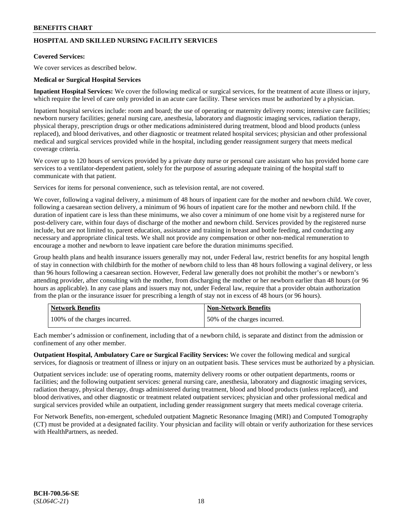## **HOSPITAL AND SKILLED NURSING FACILITY SERVICES**

## **Covered Services:**

We cover services as described below.

### **Medical or Surgical Hospital Services**

**Inpatient Hospital Services:** We cover the following medical or surgical services, for the treatment of acute illness or injury, which require the level of care only provided in an acute care facility. These services must be authorized by a physician.

Inpatient hospital services include: room and board; the use of operating or maternity delivery rooms; intensive care facilities; newborn nursery facilities; general nursing care, anesthesia, laboratory and diagnostic imaging services, radiation therapy, physical therapy, prescription drugs or other medications administered during treatment, blood and blood products (unless replaced), and blood derivatives, and other diagnostic or treatment related hospital services; physician and other professional medical and surgical services provided while in the hospital, including gender reassignment surgery that meets medical coverage criteria.

We cover up to 120 hours of services provided by a private duty nurse or personal care assistant who has provided home care services to a ventilator-dependent patient, solely for the purpose of assuring adequate training of the hospital staff to communicate with that patient.

Services for items for personal convenience, such as television rental, are not covered.

We cover, following a vaginal delivery, a minimum of 48 hours of inpatient care for the mother and newborn child. We cover, following a caesarean section delivery, a minimum of 96 hours of inpatient care for the mother and newborn child. If the duration of inpatient care is less than these minimums, we also cover a minimum of one home visit by a registered nurse for post-delivery care, within four days of discharge of the mother and newborn child. Services provided by the registered nurse include, but are not limited to, parent education, assistance and training in breast and bottle feeding, and conducting any necessary and appropriate clinical tests. We shall not provide any compensation or other non-medical remuneration to encourage a mother and newborn to leave inpatient care before the duration minimums specified.

Group health plans and health insurance issuers generally may not, under Federal law, restrict benefits for any hospital length of stay in connection with childbirth for the mother of newborn child to less than 48 hours following a vaginal delivery, or less than 96 hours following a caesarean section. However, Federal law generally does not prohibit the mother's or newborn's attending provider, after consulting with the mother, from discharging the mother or her newborn earlier than 48 hours (or 96 hours as applicable). In any case plans and issuers may not, under Federal law, require that a provider obtain authorization from the plan or the insurance issuer for prescribing a length of stay not in excess of 48 hours (or 96 hours).

| <b>Network Benefits</b>       | Non-Network Benefits         |
|-------------------------------|------------------------------|
| 100% of the charges incurred. | 50% of the charges incurred. |

Each member's admission or confinement, including that of a newborn child, is separate and distinct from the admission or confinement of any other member.

**Outpatient Hospital, Ambulatory Care or Surgical Facility Services:** We cover the following medical and surgical services, for diagnosis or treatment of illness or injury on an outpatient basis. These services must be authorized by a physician.

Outpatient services include: use of operating rooms, maternity delivery rooms or other outpatient departments, rooms or facilities; and the following outpatient services: general nursing care, anesthesia, laboratory and diagnostic imaging services, radiation therapy, physical therapy, drugs administered during treatment, blood and blood products (unless replaced), and blood derivatives, and other diagnostic or treatment related outpatient services; physician and other professional medical and surgical services provided while an outpatient, including gender reassignment surgery that meets medical coverage criteria.

For Network Benefits, non-emergent, scheduled outpatient Magnetic Resonance Imaging (MRI) and Computed Tomography (CT) must be provided at a designated facility. Your physician and facility will obtain or verify authorization for these services with HealthPartners, as needed.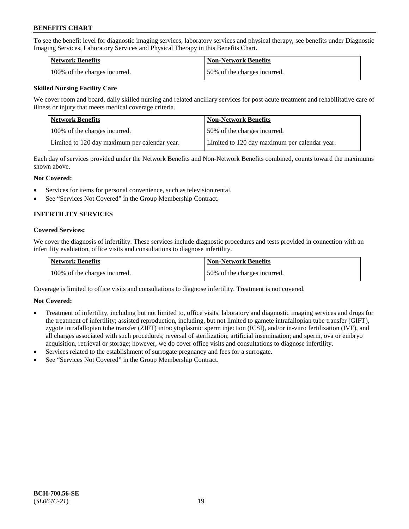To see the benefit level for diagnostic imaging services, laboratory services and physical therapy, see benefits under Diagnostic Imaging Services, Laboratory Services and Physical Therapy in this Benefits Chart.

| <b>Network Benefits</b>       | Non-Network Benefits         |
|-------------------------------|------------------------------|
| 100% of the charges incurred. | 50% of the charges incurred. |

## **Skilled Nursing Facility Care**

We cover room and board, daily skilled nursing and related ancillary services for post-acute treatment and rehabilitative care of illness or injury that meets medical coverage criteria.

| Network Benefits                              | <b>Non-Network Benefits</b>                   |
|-----------------------------------------------|-----------------------------------------------|
| 100% of the charges incurred.                 | 50% of the charges incurred.                  |
| Limited to 120 day maximum per calendar year. | Limited to 120 day maximum per calendar year. |

Each day of services provided under the Network Benefits and Non-Network Benefits combined, counts toward the maximums shown above.

#### **Not Covered:**

- Services for items for personal convenience, such as television rental.
- See "Services Not Covered" in the Group Membership Contract.

## **INFERTILITY SERVICES**

#### **Covered Services:**

We cover the diagnosis of infertility. These services include diagnostic procedures and tests provided in connection with an infertility evaluation, office visits and consultations to diagnose infertility.

| <b>Network Benefits</b>       | <b>Non-Network Benefits</b>  |
|-------------------------------|------------------------------|
| 100% of the charges incurred. | 50% of the charges incurred. |

Coverage is limited to office visits and consultations to diagnose infertility. Treatment is not covered.

## **Not Covered:**

- Treatment of infertility, including but not limited to, office visits, laboratory and diagnostic imaging services and drugs for the treatment of infertility; assisted reproduction, including, but not limited to gamete intrafallopian tube transfer (GIFT), zygote intrafallopian tube transfer (ZIFT) intracytoplasmic sperm injection (ICSI), and/or in-vitro fertilization (IVF), and all charges associated with such procedures; reversal of sterilization; artificial insemination; and sperm, ova or embryo acquisition, retrieval or storage; however, we do cover office visits and consultations to diagnose infertility.
- Services related to the establishment of surrogate pregnancy and fees for a surrogate.
- See "Services Not Covered" in the Group Membership Contract.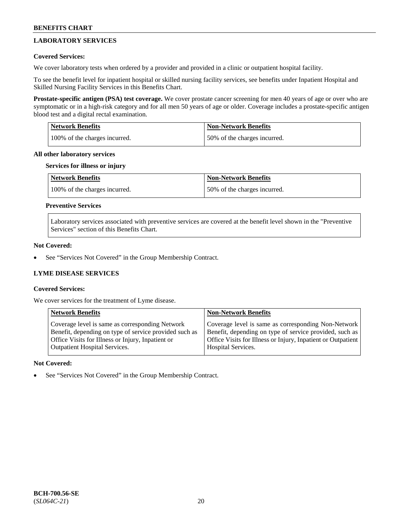## **LABORATORY SERVICES**

## **Covered Services:**

We cover laboratory tests when ordered by a provider and provided in a clinic or outpatient hospital facility.

To see the benefit level for inpatient hospital or skilled nursing facility services, see benefits under Inpatient Hospital and Skilled Nursing Facility Services in this Benefits Chart.

**Prostate-specific antigen (PSA) test coverage.** We cover prostate cancer screening for men 40 years of age or over who are symptomatic or in a high-risk category and for all men 50 years of age or older. Coverage includes a prostate-specific antigen blood test and a digital rectal examination.

| <b>Network Benefits</b>       | <b>Non-Network Benefits</b>  |
|-------------------------------|------------------------------|
| 100% of the charges incurred. | 50% of the charges incurred. |

#### **All other laboratory services**

#### **Services for illness or injury**

| Network Benefits              | <b>Non-Network Benefits</b>  |
|-------------------------------|------------------------------|
| 100% of the charges incurred. | 50% of the charges incurred. |

## **Preventive Services**

Laboratory services associated with preventive services are covered at the benefit level shown in the "Preventive Services" section of this Benefits Chart.

## **Not Covered:**

See "Services Not Covered" in the Group Membership Contract.

## **LYME DISEASE SERVICES**

## **Covered Services:**

We cover services for the treatment of Lyme disease.

| <b>Network Benefits</b>                                | <b>Non-Network Benefits</b>                                  |
|--------------------------------------------------------|--------------------------------------------------------------|
| Coverage level is same as corresponding Network        | Coverage level is same as corresponding Non-Network          |
| Benefit, depending on type of service provided such as | Benefit, depending on type of service provided, such as      |
| Office Visits for Illness or Injury, Inpatient or      | Office Visits for Illness or Injury, Inpatient or Outpatient |
| <b>Outpatient Hospital Services.</b>                   | Hospital Services.                                           |

## **Not Covered:**

See "Services Not Covered" in the Group Membership Contract.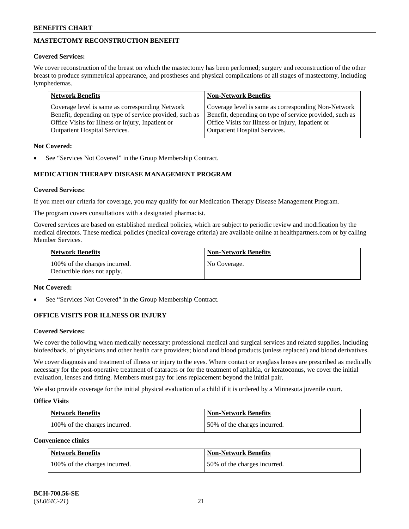## **MASTECTOMY RECONSTRUCTION BENEFIT**

## **Covered Services:**

We cover reconstruction of the breast on which the mastectomy has been performed; surgery and reconstruction of the other breast to produce symmetrical appearance, and prostheses and physical complications of all stages of mastectomy, including lymphedemas.

| <b>Network Benefits</b>                                 | <b>Non-Network Benefits</b>                             |
|---------------------------------------------------------|---------------------------------------------------------|
| Coverage level is same as corresponding Network         | Coverage level is same as corresponding Non-Network     |
| Benefit, depending on type of service provided, such as | Benefit, depending on type of service provided, such as |
| Office Visits for Illness or Injury, Inpatient or       | Office Visits for Illness or Injury, Inpatient or       |
| <b>Outpatient Hospital Services.</b>                    | <b>Outpatient Hospital Services.</b>                    |

## **Not Covered:**

See "Services Not Covered" in the Group Membership Contract.

## **MEDICATION THERAPY DISEASE MANAGEMENT PROGRAM**

## **Covered Services:**

If you meet our criteria for coverage, you may qualify for our Medication Therapy Disease Management Program.

The program covers consultations with a designated pharmacist.

Covered services are based on established medical policies, which are subject to periodic review and modification by the medical directors. These medical policies (medical coverage criteria) are available online at [healthpartners.com](https://www.healthpartners.com/hp/index.html) or by calling Member Services.

| Network Benefits                                            | <b>Non-Network Benefits</b> |
|-------------------------------------------------------------|-----------------------------|
| 100% of the charges incurred.<br>Deductible does not apply. | No Coverage.                |

## **Not Covered:**

See "Services Not Covered" in the Group Membership Contract.

## **OFFICE VISITS FOR ILLNESS OR INJURY**

## **Covered Services:**

We cover the following when medically necessary: professional medical and surgical services and related supplies, including biofeedback, of physicians and other health care providers; blood and blood products (unless replaced) and blood derivatives.

We cover diagnosis and treatment of illness or injury to the eyes. Where contact or eyeglass lenses are prescribed as medically necessary for the post-operative treatment of cataracts or for the treatment of aphakia, or keratoconus, we cover the initial evaluation, lenses and fitting. Members must pay for lens replacement beyond the initial pair.

We also provide coverage for the initial physical evaluation of a child if it is ordered by a Minnesota juvenile court.

## **Office Visits**

| <b>Network Benefits</b>       | <b>Non-Network Benefits</b>  |
|-------------------------------|------------------------------|
| 100% of the charges incurred. | 50% of the charges incurred. |

**Convenience clinics**

| Network Benefits              | <b>Non-Network Benefits</b>  |
|-------------------------------|------------------------------|
| 100% of the charges incurred. | 50% of the charges incurred. |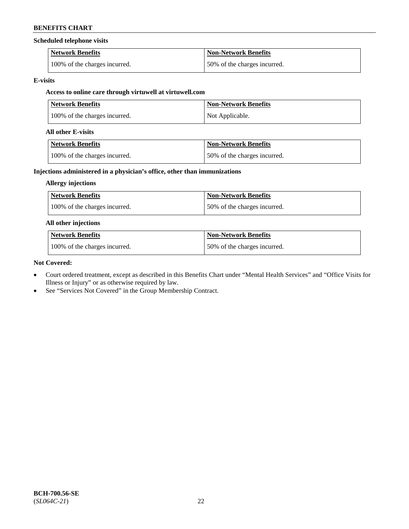#### **Scheduled telephone visits**

| <b>Network Benefits</b>       | <b>Non-Network Benefits</b>  |
|-------------------------------|------------------------------|
| 100% of the charges incurred. | 50% of the charges incurred. |

#### **E-visits**

## **Access to online care through virtuwell at [virtuwell.com](https://www.virtuwell.com/)**

| <b>Network Benefits</b>       | Non-Network Benefits |
|-------------------------------|----------------------|
| 100% of the charges incurred. | Not Applicable.      |

#### **All other E-visits**

| Network Benefits              | <b>Non-Network Benefits</b>  |
|-------------------------------|------------------------------|
| 100% of the charges incurred. | 50% of the charges incurred. |

## **Injections administered in a physician's office, other than immunizations**

### **Allergy injections**

| <b>Network Benefits</b>       | <b>Non-Network Benefits</b>  |
|-------------------------------|------------------------------|
| 100% of the charges incurred. | 50% of the charges incurred. |

### **All other injections**

| <b>Network Benefits</b>       | <b>Non-Network Benefits</b>  |
|-------------------------------|------------------------------|
| 100% of the charges incurred. | 50% of the charges incurred. |

#### **Not Covered:**

- Court ordered treatment, except as described in this Benefits Chart under "Mental Health Services" and "Office Visits for Illness or Injury" or as otherwise required by law.
- See "Services Not Covered" in the Group Membership Contract.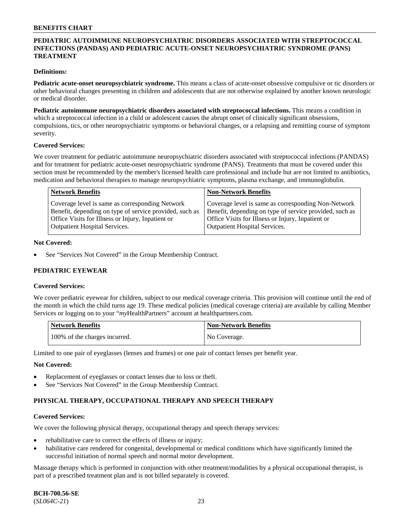## **PEDIATRIC AUTOIMMUNE NEUROPSYCHIATRIC DISORDERS ASSOCIATED WITH STREPTOCOCCAL INFECTIONS (PANDAS) AND PEDIATRIC ACUTE-ONSET NEUROPSYCHIATRIC SYNDROME (PANS) TREATMENT**

### **Definitions:**

**Pediatric acute-onset neuropsychiatric syndrome.** This means a class of acute-onset obsessive compulsive or tic disorders or other behavioral changes presenting in children and adolescents that are not otherwise explained by another known neurologic or medical disorder.

**Pediatric autoimmune neuropsychiatric disorders associated with streptococcal infections.** This means a condition in which a streptococcal infection in a child or adolescent causes the abrupt onset of clinically significant obsessions, compulsions, tics, or other neuropsychiatric symptoms or behavioral changes, or a relapsing and remitting course of symptom severity.

#### **Covered Services:**

We cover treatment for pediatric autoimmune neuropsychiatric disorders associated with streptococcal infections (PANDAS) and for treatment for pediatric acute-onset neuropsychiatric syndrome (PANS). Treatments that must be covered under this section must be recommended by the member's licensed health care professional and include but are not limited to antibiotics, medication and behavioral therapies to manage neuropsychiatric symptoms, plasma exchange, and immunoglobulin.

| <b>Network Benefits</b>                                                                                                                                         | <b>Non-Network Benefits</b>                                                                                                                                         |
|-----------------------------------------------------------------------------------------------------------------------------------------------------------------|---------------------------------------------------------------------------------------------------------------------------------------------------------------------|
| Coverage level is same as corresponding Network<br>Benefit, depending on type of service provided, such as<br>Office Visits for Illness or Injury, Inpatient or | Coverage level is same as corresponding Non-Network<br>Benefit, depending on type of service provided, such as<br>Office Visits for Illness or Injury, Inpatient or |
| <b>Outpatient Hospital Services.</b>                                                                                                                            | <b>Outpatient Hospital Services.</b>                                                                                                                                |

#### **Not Covered:**

See "Services Not Covered" in the Group Membership Contract.

## **PEDIATRIC EYEWEAR**

#### **Covered Services:**

We cover pediatric eyewear for children, subject to our medical coverage criteria. This provision will continue until the end of the month in which the child turns age 19. These medical policies (medical coverage criteria) are available by calling Member Services or logging on to your "*my*HealthPartners" account at [healthpartners.com.](https://www.healthpartners.com/hp/index.html)

| Network Benefits              | <b>Non-Network Benefits</b> |
|-------------------------------|-----------------------------|
| 100% of the charges incurred. | No Coverage.                |

Limited to one pair of eyeglasses (lenses and frames) or one pair of contact lenses per benefit year.

#### **Not Covered:**

- Replacement of eyeglasses or contact lenses due to loss or theft.
- See "Services Not Covered" in the Group Membership Contract.

## **PHYSICAL THERAPY, OCCUPATIONAL THERAPY AND SPEECH THERAPY**

#### **Covered Services:**

We cover the following physical therapy, occupational therapy and speech therapy services:

- rehabilitative care to correct the effects of illness or injury;
- habilitative care rendered for congenital, developmental or medical conditions which have significantly limited the successful initiation of normal speech and normal motor development.

Massage therapy which is performed in conjunction with other treatment/modalities by a physical occupational therapist, is part of a prescribed treatment plan and is not billed separately is covered.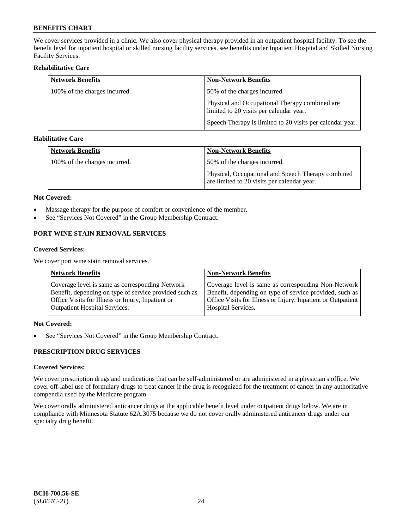We cover services provided in a clinic. We also cover physical therapy provided in an outpatient hospital facility. To see the benefit level for inpatient hospital or skilled nursing facility services, see benefits under Inpatient Hospital and Skilled Nursing Facility Services.

## **Rehabilitative Care**

| <b>Network Benefits</b>       | <b>Non-Network Benefits</b>                                                               |
|-------------------------------|-------------------------------------------------------------------------------------------|
| 100% of the charges incurred. | 50% of the charges incurred.                                                              |
|                               | Physical and Occupational Therapy combined are<br>limited to 20 visits per calendar year. |
|                               | Speech Therapy is limited to 20 visits per calendar year.                                 |

## **Habilitative Care**

| <b>Network Benefits</b>       | <b>Non-Network Benefits</b>                                                                       |
|-------------------------------|---------------------------------------------------------------------------------------------------|
| 100% of the charges incurred. | 50% of the charges incurred.                                                                      |
|                               | Physical, Occupational and Speech Therapy combined<br>are limited to 20 visits per calendar year. |

#### **Not Covered:**

- Massage therapy for the purpose of comfort or convenience of the member.
- See "Services Not Covered" in the Group Membership Contract.

## **PORT WINE STAIN REMOVAL SERVICES**

#### **Covered Services:**

We cover port wine stain removal services.

| <b>Network Benefits</b>                                | <b>Non-Network Benefits</b>                                  |
|--------------------------------------------------------|--------------------------------------------------------------|
| Coverage level is same as corresponding Network        | Coverage level is same as corresponding Non-Network          |
| Benefit, depending on type of service provided such as | Benefit, depending on type of service provided, such as      |
| Office Visits for Illness or Injury, Inpatient or      | Office Visits for Illness or Injury, Inpatient or Outpatient |
| <b>Outpatient Hospital Services.</b>                   | <b>Hospital Services.</b>                                    |

## **Not Covered:**

• See "Services Not Covered" in the Group Membership Contract.

## **PRESCRIPTION DRUG SERVICES**

## **Covered Services:**

We cover prescription drugs and medications that can be self-administered or are administered in a physician's office. We cover off-label use of formulary drugs to treat cancer if the drug is recognized for the treatment of cancer in any authoritative compendia used by the Medicare program.

We cover orally administered anticancer drugs at the applicable benefit level under outpatient drugs below. We are in compliance with Minnesota Statute 62A.3075 because we do not cover orally administered anticancer drugs under our specialty drug benefit.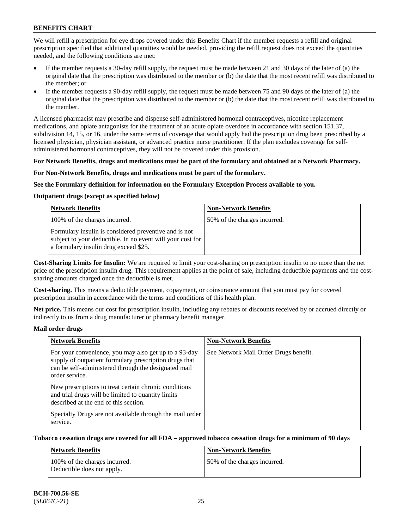We will refill a prescription for eye drops covered under this Benefits Chart if the member requests a refill and original prescription specified that additional quantities would be needed, providing the refill request does not exceed the quantities needed, and the following conditions are met:

- If the member requests a 30-day refill supply, the request must be made between 21 and 30 days of the later of (a) the original date that the prescription was distributed to the member or (b) the date that the most recent refill was distributed to the member; or
- If the member requests a 90-day refill supply, the request must be made between 75 and 90 days of the later of (a) the original date that the prescription was distributed to the member or (b) the date that the most recent refill was distributed to the member.

A licensed pharmacist may prescribe and dispense self-administered hormonal contraceptives, nicotine replacement medications, and opiate antagonists for the treatment of an acute opiate overdose in accordance with section 151.37, subdivision 14, 15, or 16, under the same terms of coverage that would apply had the prescription drug been prescribed by a licensed physician, physician assistant, or advanced practice nurse practitioner. If the plan excludes coverage for selfadministered hormonal contraceptives, they will not be covered under this provision.

#### **For Network Benefits, drugs and medications must be part of the formulary and obtained at a Network Pharmacy.**

#### **For Non-Network Benefits, drugs and medications must be part of the formulary.**

#### **See the Formulary definition for information on the Formulary Exception Process available to you.**

## **Outpatient drugs (except as specified below)**

| <b>Network Benefits</b>                                                                                                                                      | <b>Non-Network Benefits</b>  |
|--------------------------------------------------------------------------------------------------------------------------------------------------------------|------------------------------|
| 100% of the charges incurred.                                                                                                                                | 50% of the charges incurred. |
| Formulary insulin is considered preventive and is not<br>subject to your deductible. In no event will your cost for<br>a formulary insulin drug exceed \$25. |                              |

**Cost-Sharing Limits for Insulin:** We are required to limit your cost-sharing on prescription insulin to no more than the net price of the prescription insulin drug. This requirement applies at the point of sale, including deductible payments and the costsharing amounts charged once the deductible is met.

**Cost-sharing.** This means a deductible payment, copayment, or coinsurance amount that you must pay for covered prescription insulin in accordance with the terms and conditions of this health plan.

**Net price.** This means our cost for prescription insulin, including any rebates or discounts received by or accrued directly or indirectly to us from a drug manufacturer or pharmacy benefit manager.

#### **Mail order drugs**

| <b>Network Benefits</b>                                                                                                                                                                   | <b>Non-Network Benefits</b>           |
|-------------------------------------------------------------------------------------------------------------------------------------------------------------------------------------------|---------------------------------------|
| For your convenience, you may also get up to a 93-day<br>supply of outpatient formulary prescription drugs that<br>can be self-administered through the designated mail<br>order service. | See Network Mail Order Drugs benefit. |
| New prescriptions to treat certain chronic conditions<br>and trial drugs will be limited to quantity limits<br>described at the end of this section.                                      |                                       |
| Specialty Drugs are not available through the mail order<br>service.                                                                                                                      |                                       |

## **Tobacco cessation drugs are covered for all FDA – approved tobacco cessation drugs for a minimum of 90 days**

| Network Benefits                                            | <b>Non-Network Benefits</b>  |
|-------------------------------------------------------------|------------------------------|
| 100% of the charges incurred.<br>Deductible does not apply. | 50% of the charges incurred. |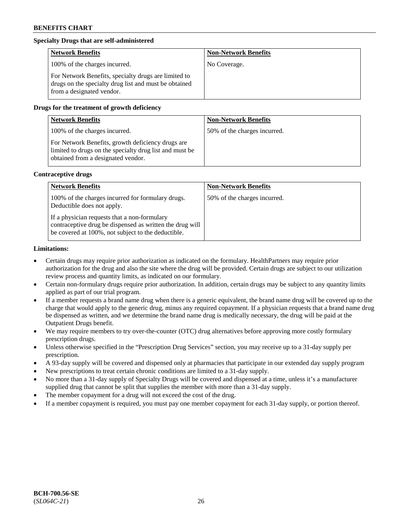## **Specialty Drugs that are self-administered**

| <b>Network Benefits</b>                                                                                                                    | <b>Non-Network Benefits</b> |
|--------------------------------------------------------------------------------------------------------------------------------------------|-----------------------------|
| 100% of the charges incurred.                                                                                                              | No Coverage.                |
| For Network Benefits, specialty drugs are limited to<br>drugs on the specialty drug list and must be obtained<br>from a designated vendor. |                             |

## **Drugs for the treatment of growth deficiency**

| <b>Network Benefits</b>                                                                                                                            | <b>Non-Network Benefits</b>  |
|----------------------------------------------------------------------------------------------------------------------------------------------------|------------------------------|
| 100% of the charges incurred.                                                                                                                      | 50% of the charges incurred. |
| For Network Benefits, growth deficiency drugs are<br>limited to drugs on the specialty drug list and must be<br>obtained from a designated vendor. |                              |

#### **Contraceptive drugs**

| <b>Network Benefits</b>                                                                                                                                        | <b>Non-Network Benefits</b>  |
|----------------------------------------------------------------------------------------------------------------------------------------------------------------|------------------------------|
| 100% of the charges incurred for formulary drugs.<br>Deductible does not apply.                                                                                | 50% of the charges incurred. |
| If a physician requests that a non-formulary<br>contraceptive drug be dispensed as written the drug will<br>be covered at 100%, not subject to the deductible. |                              |

#### **Limitations:**

- Certain drugs may require prior authorization as indicated on the formulary. HealthPartners may require prior authorization for the drug and also the site where the drug will be provided. Certain drugs are subject to our utilization review process and quantity limits, as indicated on our formulary.
- Certain non-formulary drugs require prior authorization. In addition, certain drugs may be subject to any quantity limits applied as part of our trial program.
- If a member requests a brand name drug when there is a generic equivalent, the brand name drug will be covered up to the charge that would apply to the generic drug, minus any required copayment. If a physician requests that a brand name drug be dispensed as written, and we determine the brand name drug is medically necessary, the drug will be paid at the Outpatient Drugs benefit.
- We may require members to try over-the-counter (OTC) drug alternatives before approving more costly formulary prescription drugs.
- Unless otherwise specified in the "Prescription Drug Services" section, you may receive up to a 31-day supply per prescription.
- A 93-day supply will be covered and dispensed only at pharmacies that participate in our extended day supply program
- New prescriptions to treat certain chronic conditions are limited to a 31-day supply.
- No more than a 31-day supply of Specialty Drugs will be covered and dispensed at a time, unless it's a manufacturer supplied drug that cannot be split that supplies the member with more than a 31-day supply.
- The member copayment for a drug will not exceed the cost of the drug.
- If a member copayment is required, you must pay one member copayment for each 31-day supply, or portion thereof.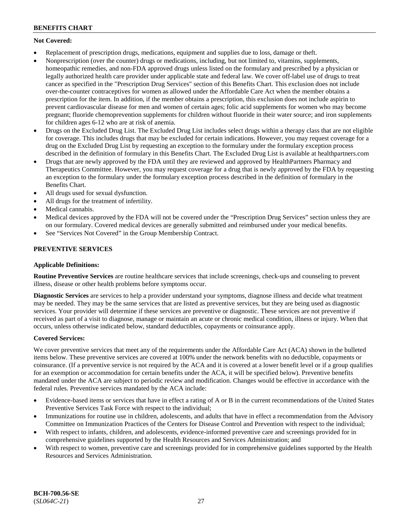## **Not Covered:**

- Replacement of prescription drugs, medications, equipment and supplies due to loss, damage or theft.
- Nonprescription (over the counter) drugs or medications, including, but not limited to, vitamins, supplements, homeopathic remedies, and non-FDA approved drugs unless listed on the formulary and prescribed by a physician or legally authorized health care provider under applicable state and federal law. We cover off-label use of drugs to treat cancer as specified in the "Prescription Drug Services" section of this Benefits Chart. This exclusion does not include over-the-counter contraceptives for women as allowed under the Affordable Care Act when the member obtains a prescription for the item. In addition, if the member obtains a prescription, this exclusion does not include aspirin to prevent cardiovascular disease for men and women of certain ages; folic acid supplements for women who may become pregnant; fluoride chemoprevention supplements for children without fluoride in their water source; and iron supplements for children ages 6-12 who are at risk of anemia.
- Drugs on the Excluded Drug List. The Excluded Drug List includes select drugs within a therapy class that are not eligible for coverage. This includes drugs that may be excluded for certain indications. However, you may request coverage for a drug on the Excluded Drug List by requesting an exception to the formulary under the formulary exception process described in the definition of formulary in this Benefits Chart. The Excluded Drug List is available at [healthpartners.com](http://www.healthpartners.com/)
- Drugs that are newly approved by the FDA until they are reviewed and approved by HealthPartners Pharmacy and Therapeutics Committee. However, you may request coverage for a drug that is newly approved by the FDA by requesting an exception to the formulary under the formulary exception process described in the definition of formulary in the Benefits Chart.
- All drugs used for sexual dysfunction.
- All drugs for the treatment of infertility.
- Medical cannabis.
- Medical devices approved by the FDA will not be covered under the "Prescription Drug Services" section unless they are on our formulary. Covered medical devices are generally submitted and reimbursed under your medical benefits.
- See "Services Not Covered" in the Group Membership Contract.

## **PREVENTIVE SERVICES**

## **Applicable Definitions:**

**Routine Preventive Services** are routine healthcare services that include screenings, check-ups and counseling to prevent illness, disease or other health problems before symptoms occur.

**Diagnostic Services** are services to help a provider understand your symptoms, diagnose illness and decide what treatment may be needed. They may be the same services that are listed as preventive services, but they are being used as diagnostic services. Your provider will determine if these services are preventive or diagnostic. These services are not preventive if received as part of a visit to diagnose, manage or maintain an acute or chronic medical condition, illness or injury. When that occurs, unless otherwise indicated below, standard deductibles, copayments or coinsurance apply.

## **Covered Services:**

We cover preventive services that meet any of the requirements under the Affordable Care Act (ACA) shown in the bulleted items below. These preventive services are covered at 100% under the network benefits with no deductible, copayments or coinsurance. (If a preventive service is not required by the ACA and it is covered at a lower benefit level or if a group qualifies for an exemption or accommodation for certain benefits under the ACA, it will be specified below). Preventive benefits mandated under the ACA are subject to periodic review and modification. Changes would be effective in accordance with the federal rules. Preventive services mandated by the ACA include:

- Evidence-based items or services that have in effect a rating of A or B in the current recommendations of the United States Preventive Services Task Force with respect to the individual;
- Immunizations for routine use in children, adolescents, and adults that have in effect a recommendation from the Advisory Committee on Immunization Practices of the Centers for Disease Control and Prevention with respect to the individual;
- With respect to infants, children, and adolescents, evidence-informed preventive care and screenings provided for in comprehensive guidelines supported by the Health Resources and Services Administration; and
- With respect to women, preventive care and screenings provided for in comprehensive guidelines supported by the Health Resources and Services Administration.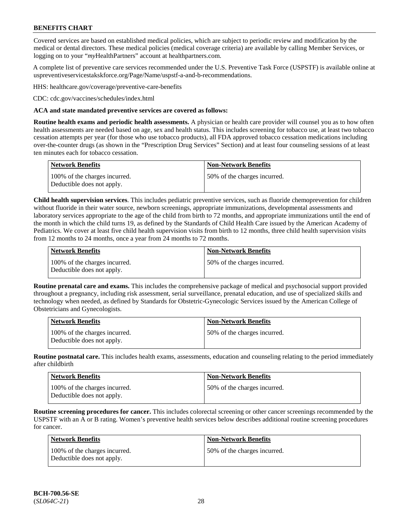Covered services are based on established medical policies, which are subject to periodic review and modification by the medical or dental directors. These medical policies (medical coverage criteria) are available by calling Member Services, or logging on to your "*my*HealthPartners" account at [healthpartners.com.](http://www.healthpartners.com/)

A complete list of preventive care services recommended under the U.S. Preventive Task Force (USPSTF) is available online at [uspreventiveservicestakskforce.org/Page/Name/uspstf-a-and-b-recommendations.](https://www.uspreventiveservicestaskforce.org/Page/Name/uspstf-a-and-b-recommendations-by-date/)

HHS: [healthcare.gov/coverage/preventive-care-benefits](https://www.healthcare.gov/coverage/preventive-care-benefits/)

CDC: [cdc.gov/vaccines/schedules/index.html](https://www.cdc.gov/vaccines/schedules/index.html)

### **ACA and state mandated preventive services are covered as follows:**

**Routine health exams and periodic health assessments.** A physician or health care provider will counsel you as to how often health assessments are needed based on age, sex and health status. This includes screening for tobacco use, at least two tobacco cessation attempts per year (for those who use tobacco products), all FDA approved tobacco cessation medications including over-the-counter drugs (as shown in the "Prescription Drug Services" Section) and at least four counseling sessions of at least ten minutes each for tobacco cessation.

| Network Benefits                                            | <b>Non-Network Benefits</b>  |
|-------------------------------------------------------------|------------------------------|
| 100% of the charges incurred.<br>Deductible does not apply. | 50% of the charges incurred. |

**Child health supervision services**. This includes pediatric preventive services, such as fluoride chemoprevention for children without fluoride in their water source, newborn screenings, appropriate immunizations, developmental assessments and laboratory services appropriate to the age of the child from birth to 72 months, and appropriate immunizations until the end of the month in which the child turns 19, as defined by the Standards of Child Health Care issued by the American Academy of Pediatrics. We cover at least five child health supervision visits from birth to 12 months, three child health supervision visits from 12 months to 24 months, once a year from 24 months to 72 months.

| Network Benefits                                            | <b>Non-Network Benefits</b>  |
|-------------------------------------------------------------|------------------------------|
| 100% of the charges incurred.<br>Deductible does not apply. | 50% of the charges incurred. |

**Routine prenatal care and exams.** This includes the comprehensive package of medical and psychosocial support provided throughout a pregnancy, including risk assessment, serial surveillance, prenatal education, and use of specialized skills and technology when needed, as defined by Standards for Obstetric-Gynecologic Services issued by the American College of Obstetricians and Gynecologists.

| <b>Network Benefits</b>                                     | <b>Non-Network Benefits</b>   |
|-------------------------------------------------------------|-------------------------------|
| 100% of the charges incurred.<br>Deductible does not apply. | 150% of the charges incurred. |

**Routine postnatal care.** This includes health exams, assessments, education and counseling relating to the period immediately after childbirth

| <b>Network Benefits</b>                                     | <b>Non-Network Benefits</b>  |
|-------------------------------------------------------------|------------------------------|
| 100% of the charges incurred.<br>Deductible does not apply. | 50% of the charges incurred. |

**Routine screening procedures for cancer.** This includes colorectal screening or other cancer screenings recommended by the USPSTF with an A or B rating. Women's preventive health services below describes additional routine screening procedures for cancer.

| <b>Network Benefits</b>                                     | <b>Non-Network Benefits</b>  |
|-------------------------------------------------------------|------------------------------|
| 100% of the charges incurred.<br>Deductible does not apply. | 50% of the charges incurred. |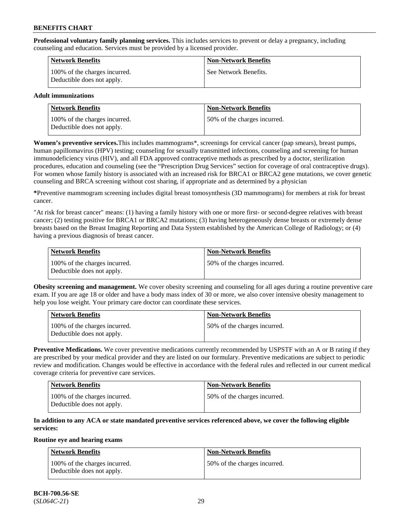**Professional voluntary family planning services.** This includes services to prevent or delay a pregnancy, including counseling and education. Services must be provided by a licensed provider.

| <b>Network Benefits</b>                                     | <b>Non-Network Benefits</b> |
|-------------------------------------------------------------|-----------------------------|
| 100% of the charges incurred.<br>Deductible does not apply. | See Network Benefits.       |

## **Adult immunizations**

| Network Benefits                                            | <b>Non-Network Benefits</b>  |
|-------------------------------------------------------------|------------------------------|
| 100% of the charges incurred.<br>Deductible does not apply. | 50% of the charges incurred. |

**Women's preventive services.**This includes mammograms\*, screenings for cervical cancer (pap smears), breast pumps, human papillomavirus (HPV) testing; counseling for sexually transmitted infections, counseling and screening for human immunodeficiency virus (HIV), and all FDA approved contraceptive methods as prescribed by a doctor, sterilization procedures, education and counseling (see the "Prescription Drug Services" section for coverage of oral contraceptive drugs). For women whose family history is associated with an increased risk for BRCA1 or BRCA2 gene mutations, we cover genetic counseling and BRCA screening without cost sharing, if appropriate and as determined by a physician

**\***Preventive mammogram screening includes digital breast tomosynthesis (3D mammograms) for members at risk for breast cancer.

"At risk for breast cancer" means: (1) having a family history with one or more first- or second-degree relatives with breast cancer; (2) testing positive for BRCA1 or BRCA2 mutations; (3) having heterogeneously dense breasts or extremely dense breasts based on the Breast Imaging Reporting and Data System established by the American College of Radiology; or (4) having a previous diagnosis of breast cancer.

| Network Benefits                                            | <b>Non-Network Benefits</b>  |
|-------------------------------------------------------------|------------------------------|
| 100% of the charges incurred.<br>Deductible does not apply. | 50% of the charges incurred. |

**Obesity screening and management.** We cover obesity screening and counseling for all ages during a routine preventive care exam. If you are age 18 or older and have a body mass index of 30 or more, we also cover intensive obesity management to help you lose weight. Your primary care doctor can coordinate these services.

| Network Benefits                                            | <b>Non-Network Benefits</b>  |
|-------------------------------------------------------------|------------------------------|
| 100% of the charges incurred.<br>Deductible does not apply. | 50% of the charges incurred. |

**Preventive Medications.** We cover preventive medications currently recommended by USPSTF with an A or B rating if they are prescribed by your medical provider and they are listed on our formulary. Preventive medications are subject to periodic review and modification. Changes would be effective in accordance with the federal rules and reflected in our current medical coverage criteria for preventive care services.

| <b>Network Benefits</b>                                     | <b>Non-Network Benefits</b>   |
|-------------------------------------------------------------|-------------------------------|
| 100% of the charges incurred.<br>Deductible does not apply. | 150% of the charges incurred. |

## **In addition to any ACA or state mandated preventive services referenced above, we cover the following eligible services:**

#### **Routine eye and hearing exams**

| <b>Network Benefits</b>                                     | <b>Non-Network Benefits</b>  |
|-------------------------------------------------------------|------------------------------|
| 100% of the charges incurred.<br>Deductible does not apply. | 50% of the charges incurred. |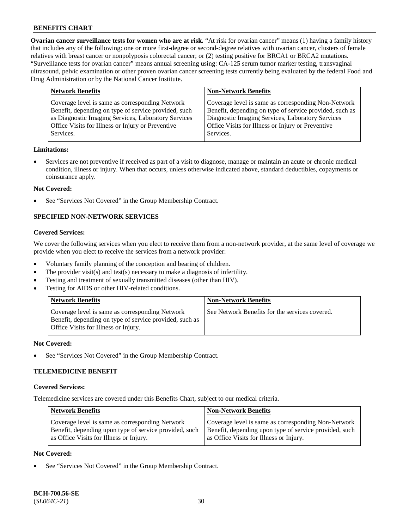**Ovarian cancer surveillance tests for women who are at risk.** "At risk for ovarian cancer" means (1) having a family history that includes any of the following: one or more first-degree or second-degree relatives with ovarian cancer, clusters of female relatives with breast cancer or nonpolyposis colorectal cancer; or (2) testing positive for BRCA1 or BRCA2 mutations. "Surveillance tests for ovarian cancer" means annual screening using: CA-125 serum tumor marker testing, transvaginal ultrasound, pelvic examination or other proven ovarian cancer screening tests currently being evaluated by the federal Food and Drug Administration or by the National Cancer Institute.

| <b>Network Benefits</b>                              | <b>Non-Network Benefits</b>                             |
|------------------------------------------------------|---------------------------------------------------------|
| Coverage level is same as corresponding Network      | Coverage level is same as corresponding Non-Network     |
| Benefit, depending on type of service provided, such | Benefit, depending on type of service provided, such as |
| as Diagnostic Imaging Services, Laboratory Services  | Diagnostic Imaging Services, Laboratory Services        |
| Office Visits for Illness or Injury or Preventive    | Office Visits for Illness or Injury or Preventive       |
| Services.                                            | Services.                                               |

#### **Limitations:**

• Services are not preventive if received as part of a visit to diagnose, manage or maintain an acute or chronic medical condition, illness or injury. When that occurs, unless otherwise indicated above, standard deductibles, copayments or coinsurance apply.

#### **Not Covered:**

See "Services Not Covered" in the Group Membership Contract.

## **SPECIFIED NON-NETWORK SERVICES**

## **Covered Services:**

We cover the following services when you elect to receive them from a non-network provider, at the same level of coverage we provide when you elect to receive the services from a network provider:

- Voluntary family planning of the conception and bearing of children.
- The provider visit(s) and test(s) necessary to make a diagnosis of infertility.
- Testing and treatment of sexually transmitted diseases (other than HIV).
- Testing for AIDS or other HIV-related conditions.

| <b>Network Benefits</b>                                                                                                                            | <b>Non-Network Benefits</b>                    |
|----------------------------------------------------------------------------------------------------------------------------------------------------|------------------------------------------------|
| Coverage level is same as corresponding Network<br>Benefit, depending on type of service provided, such as<br>Office Visits for Illness or Injury. | See Network Benefits for the services covered. |

#### **Not Covered:**

See "Services Not Covered" in the Group Membership Contract.

## **TELEMEDICINE BENEFIT**

#### **Covered Services:**

Telemedicine services are covered under this Benefits Chart, subject to our medical criteria.

| <b>Network Benefits</b>                                | <b>Non-Network Benefits</b>                            |
|--------------------------------------------------------|--------------------------------------------------------|
| Coverage level is same as corresponding Network        | Coverage level is same as corresponding Non-Network    |
| Benefit, depending upon type of service provided, such | Benefit, depending upon type of service provided, such |
| as Office Visits for Illness or Injury.                | as Office Visits for Illness or Injury.                |

### **Not Covered:**

See "Services Not Covered" in the Group Membership Contract.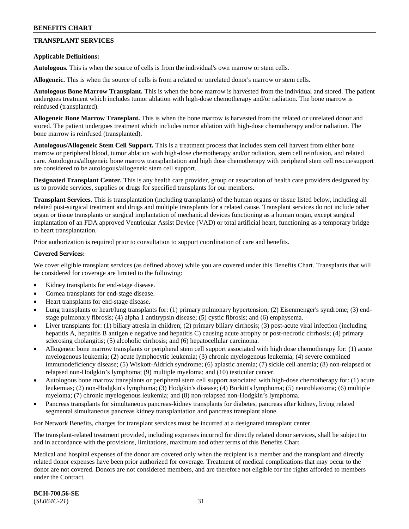## **TRANSPLANT SERVICES**

### **Applicable Definitions:**

**Autologous.** This is when the source of cells is from the individual's own marrow or stem cells.

**Allogeneic.** This is when the source of cells is from a related or unrelated donor's marrow or stem cells.

**Autologous Bone Marrow Transplant.** This is when the bone marrow is harvested from the individual and stored. The patient undergoes treatment which includes tumor ablation with high-dose chemotherapy and/or radiation. The bone marrow is reinfused (transplanted).

**Allogeneic Bone Marrow Transplant.** This is when the bone marrow is harvested from the related or unrelated donor and stored. The patient undergoes treatment which includes tumor ablation with high-dose chemotherapy and/or radiation. The bone marrow is reinfused (transplanted).

**Autologous/Allogeneic Stem Cell Support.** This is a treatment process that includes stem cell harvest from either bone marrow or peripheral blood, tumor ablation with high-dose chemotherapy and/or radiation, stem cell reinfusion, and related care. Autologous/allogeneic bone marrow transplantation and high dose chemotherapy with peripheral stem cell rescue/support are considered to be autologous/allogeneic stem cell support.

**Designated Transplant Center.** This is any health care provider, group or association of health care providers designated by us to provide services, supplies or drugs for specified transplants for our members.

**Transplant Services.** This is transplantation (including transplants) of the human organs or tissue listed below, including all related post-surgical treatment and drugs and multiple transplants for a related cause. Transplant services do not include other organ or tissue transplants or surgical implantation of mechanical devices functioning as a human organ, except surgical implantation of an FDA approved Ventricular Assist Device (VAD) or total artificial heart, functioning as a temporary bridge to heart transplantation.

Prior authorization is required prior to consultation to support coordination of care and benefits.

#### **Covered Services:**

We cover eligible transplant services (as defined above) while you are covered under this Benefits Chart. Transplants that will be considered for coverage are limited to the following:

- Kidney transplants for end-stage disease.
- Cornea transplants for end-stage disease.
- Heart transplants for end-stage disease.
- Lung transplants or heart/lung transplants for: (1) primary pulmonary hypertension; (2) Eisenmenger's syndrome; (3) endstage pulmonary fibrosis; (4) alpha 1 antitrypsin disease; (5) cystic fibrosis; and (6) emphysema.
- Liver transplants for: (1) biliary atresia in children; (2) primary biliary cirrhosis; (3) post-acute viral infection (including hepatitis A, hepatitis B antigen e negative and hepatitis C) causing acute atrophy or post-necrotic cirrhosis; (4) primary sclerosing cholangitis; (5) alcoholic cirrhosis; and (6) hepatocellular carcinoma.
- Allogeneic bone marrow transplants or peripheral stem cell support associated with high dose chemotherapy for: (1) acute myelogenous leukemia; (2) acute lymphocytic leukemia; (3) chronic myelogenous leukemia; (4) severe combined immunodeficiency disease; (5) Wiskott-Aldrich syndrome; (6) aplastic anemia; (7) sickle cell anemia; (8) non-relapsed or relapsed non-Hodgkin's lymphoma; (9) multiple myeloma; and (10) testicular cancer.
- Autologous bone marrow transplants or peripheral stem cell support associated with high-dose chemotherapy for: (1) acute leukemias; (2) non-Hodgkin's lymphoma; (3) Hodgkin's disease; (4) Burkitt's lymphoma; (5) neuroblastoma; (6) multiple myeloma; (7) chronic myelogenous leukemia; and (8) non-relapsed non-Hodgkin's lymphoma.
- Pancreas transplants for simultaneous pancreas-kidney transplants for diabetes, pancreas after kidney, living related segmental simultaneous pancreas kidney transplantation and pancreas transplant alone.

For Network Benefits, charges for transplant services must be incurred at a designated transplant center.

The transplant-related treatment provided, including expenses incurred for directly related donor services, shall be subject to and in accordance with the provisions, limitations, maximum and other terms of this Benefits Chart.

Medical and hospital expenses of the donor are covered only when the recipient is a member and the transplant and directly related donor expenses have been prior authorized for coverage. Treatment of medical complications that may occur to the donor are not covered. Donors are not considered members, and are therefore not eligible for the rights afforded to members under the Contract.